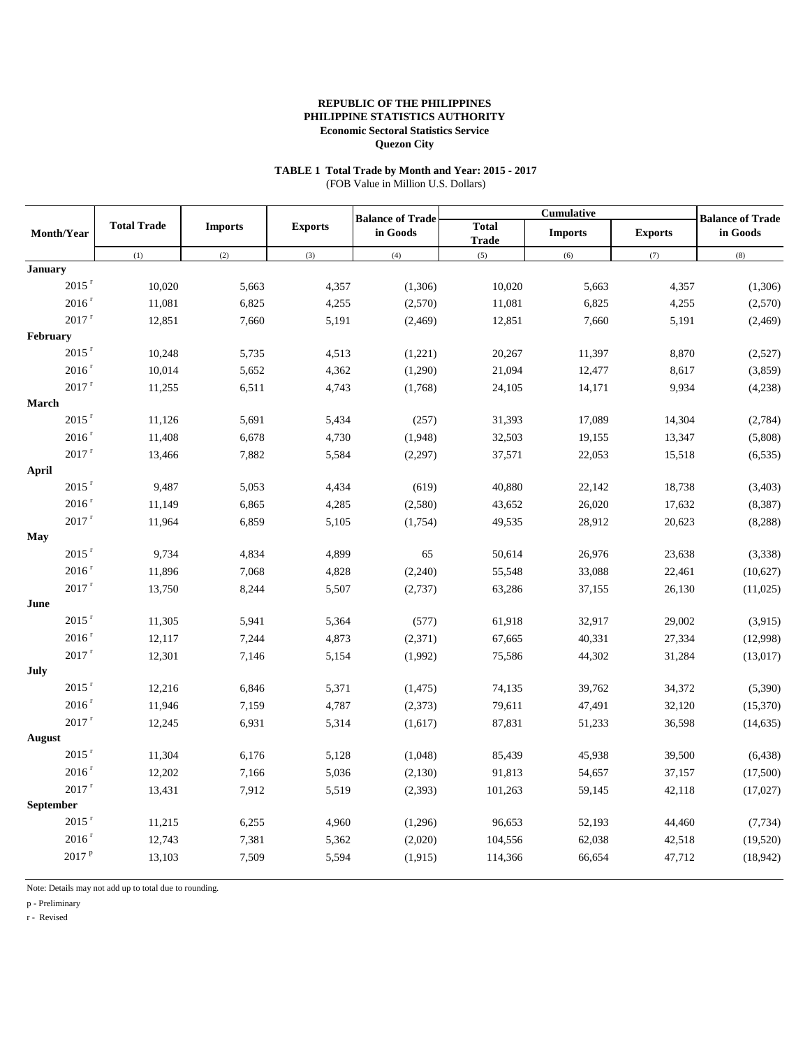## **TABLE 1 Total Trade by Month and Year: 2015 - 2017**

(FOB Value in Million U.S. Dollars)

|                               |                    |                |                | <b>Balance of Trade</b> |                              | Cumulative     |                | <b>Balance of Trade</b> |
|-------------------------------|--------------------|----------------|----------------|-------------------------|------------------------------|----------------|----------------|-------------------------|
| <b>Month/Year</b>             | <b>Total Trade</b> | <b>Imports</b> | <b>Exports</b> | in Goods                | <b>Total</b><br><b>Trade</b> | <b>Imports</b> | <b>Exports</b> | in Goods                |
|                               | (1)                | (2)            | (3)            | (4)                     | (5)                          | (6)            | (7)            | (8)                     |
| <b>January</b>                |                    |                |                |                         |                              |                |                |                         |
| $2015$ <sup>r</sup>           | 10,020             | 5,663          | 4,357          | (1,306)                 | 10,020                       | 5,663          | 4,357          | (1,306)                 |
| 2016 <sup>r</sup>             | 11,081             | 6,825          | 4,255          | (2,570)                 | 11,081                       | 6,825          | 4,255          | (2,570)                 |
| $2017$ <sup>r</sup>           | 12,851             | 7,660          | 5,191          | (2, 469)                | 12,851                       | 7,660          | 5,191          | (2, 469)                |
| February                      |                    |                |                |                         |                              |                |                |                         |
| $2015$ <sup>r</sup>           | 10,248             | 5,735          | 4,513          | (1,221)                 | 20,267                       | 11,397         | 8,870          | (2,527)                 |
| $2016$ <sup>r</sup>           | 10,014             | 5,652          | 4,362          | (1,290)                 | 21,094                       | 12,477         | 8,617          | (3,859)                 |
| $2017$ <sup>r</sup>           | 11,255             | 6,511          | 4,743          | (1,768)                 | 24,105                       | 14,171         | 9,934          | (4,238)                 |
| March                         |                    |                |                |                         |                              |                |                |                         |
| $2015$ <sup>r</sup>           | 11,126             | 5,691          | 5,434          | (257)                   | 31,393                       | 17,089         | 14,304         | (2,784)                 |
| $2016$ r                      | 11,408             | 6,678          | 4,730          | (1,948)                 | 32,503                       | 19,155         | 13,347         | (5,808)                 |
| $2017$ <sup>r</sup>           | 13,466             | 7,882          | 5,584          | (2,297)                 | 37,571                       | 22,053         | 15,518         | (6, 535)                |
| April                         |                    |                |                |                         |                              |                |                |                         |
| $2015$ <sup>r</sup>           | 9,487              | 5,053          | 4,434          | (619)                   | 40,880                       | 22,142         | 18,738         | (3,403)                 |
| $2016$ r                      | 11,149             | 6,865          | 4,285          | (2,580)                 | 43,652                       | 26,020         | 17,632         | (8, 387)                |
| $2017$ <sup>r</sup>           | 11,964             | 6,859          | 5,105          | (1,754)                 | 49,535                       | 28,912         | 20,623         | (8, 288)                |
| <b>May</b>                    |                    |                |                |                         |                              |                |                |                         |
| $2015$ <sup>r</sup>           | 9,734              | 4,834          | 4,899          | 65                      | 50,614                       | 26,976         | 23,638         | (3,338)                 |
| 2016 <sup>r</sup>             | 11,896             | 7,068          | 4,828          | (2,240)                 | 55,548                       | 33,088         | 22,461         | (10,627)                |
| $2017$ $^{\rm r}$             | 13,750             | 8,244          | 5,507          | (2,737)                 | 63,286                       | 37,155         | 26,130         | (11,025)                |
| June                          |                    |                |                |                         |                              |                |                |                         |
| $2015$ <sup>r</sup>           | 11,305             | 5,941          | 5,364          | (577)                   | 61,918                       | 32,917         | 29,002         | (3,915)                 |
| $2016$ r                      | 12,117             | 7,244          | 4,873          | (2,371)                 | 67,665                       | 40,331         | 27,334         | (12,998)                |
| $2017$ <sup>r</sup>           | 12,301             | 7,146          | 5,154          | (1,992)                 | 75,586                       | 44,302         | 31,284         | (13,017)                |
| July<br>$2015$ <sup>r</sup>   |                    |                |                |                         |                              |                |                |                         |
|                               | 12,216             | 6,846          | 5,371          | (1, 475)                | 74,135                       | 39,762         | 34,372         | (5,390)                 |
| $2016$ <sup>r</sup>           | 11,946             | 7,159          | 4,787          | (2,373)                 | 79,611                       | 47,491         | 32,120         | (15,370)                |
| $2017$ <sup>r</sup>           | 12,245             | 6,931          | 5,314          | (1,617)                 | 87,831                       | 51,233         | 36,598         | (14, 635)               |
| August<br>$2015$ <sup>r</sup> |                    |                |                |                         |                              |                |                |                         |
| $2016$ <sup>r</sup>           | 11,304             | 6,176          | 5,128          | (1,048)                 | 85,439                       | 45,938         | 39,500         | (6, 438)                |
| $2017$ <sup>r</sup>           | 12,202             | 7,166          | 5,036          | (2,130)                 | 91,813                       | 54,657         | 37,157         | (17,500)                |
| September                     | 13,431             | 7,912          | 5,519          | (2,393)                 | 101,263                      | 59,145         | 42,118         | (17,027)                |
| $2015$ <sup>r</sup>           | 11,215             | 6,255          | 4,960          | (1,296)                 | 96,653                       | 52,193         | 44,460         | (7, 734)                |
| 2016 <sup>r</sup>             | 12,743             | 7,381          |                | (2,020)                 |                              | 62,038         |                |                         |
| 2017 <sup>P</sup>             |                    |                | 5,362          |                         | 104,556                      |                | 42,518         | (19,520)                |
|                               | 13,103             | 7,509          | 5,594          | (1,915)                 | 114,366                      | 66,654         | 47,712         | (18,942)                |

Note: Details may not add up to total due to rounding.

p - Preliminary

r - Revised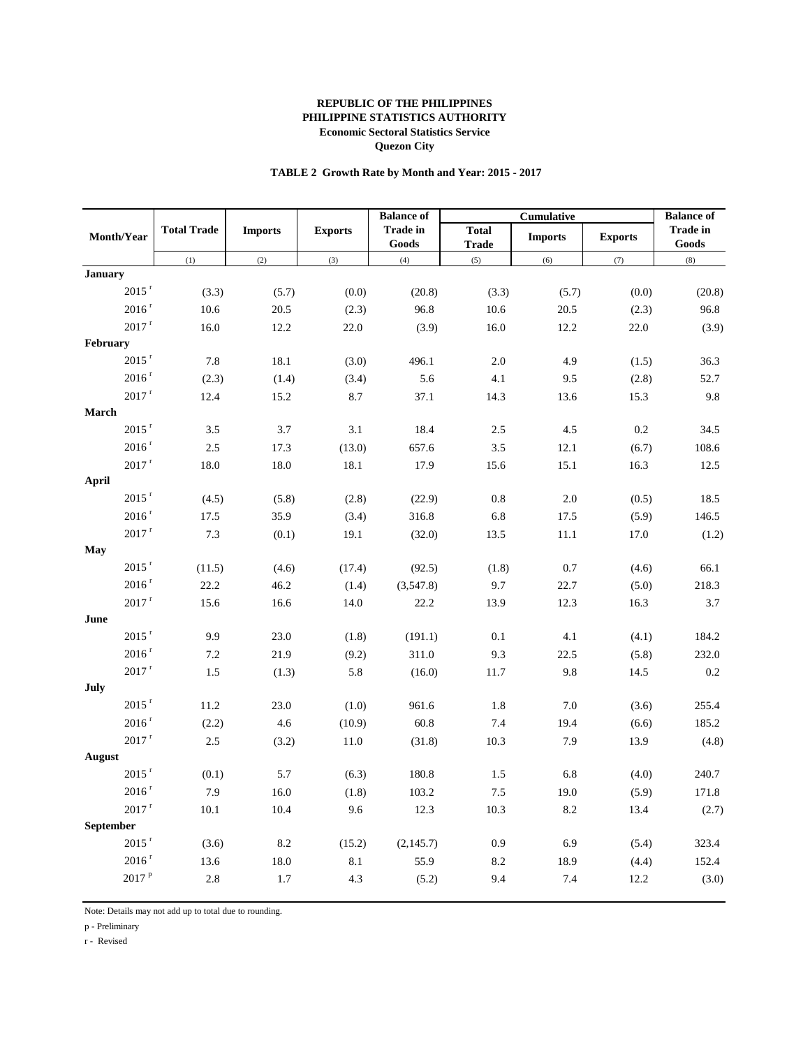#### **TABLE 2 Growth Rate by Month and Year: 2015 - 2017**

|                     |                    |                |                | <b>Balance</b> of        |                              | Cumulative     |                | <b>Balance</b> of        |
|---------------------|--------------------|----------------|----------------|--------------------------|------------------------------|----------------|----------------|--------------------------|
| Month/Year          | <b>Total Trade</b> | <b>Imports</b> | <b>Exports</b> | <b>Trade in</b><br>Goods | <b>Total</b><br><b>Trade</b> | <b>Imports</b> | <b>Exports</b> | <b>Trade in</b><br>Goods |
|                     | (1)                | (2)            | (3)            | (4)                      | (5)                          | (6)            | (7)            | (8)                      |
| <b>January</b>      |                    |                |                |                          |                              |                |                |                          |
| $2015$ <sup>r</sup> | (3.3)              | (5.7)          | (0.0)          | (20.8)                   | (3.3)                        | (5.7)          | (0.0)          | (20.8)                   |
| $2016$ r            | 10.6               | 20.5           | (2.3)          | 96.8                     | 10.6                         | 20.5           | (2.3)          | 96.8                     |
| $2017$ <sup>r</sup> | 16.0               | 12.2           | 22.0           | (3.9)                    | 16.0                         | 12.2           | 22.0           | (3.9)                    |
| February            |                    |                |                |                          |                              |                |                |                          |
| $2015$ <sup>r</sup> | 7.8                | 18.1           | (3.0)          | 496.1                    | $2.0\,$                      | 4.9            | (1.5)          | 36.3                     |
| $2016$ $^{\rm r}$   | (2.3)              | (1.4)          | (3.4)          | 5.6                      | 4.1                          | 9.5            | (2.8)          | 52.7                     |
| $2017$ $^{\rm r}$   | 12.4               | 15.2           | 8.7            | 37.1                     | 14.3                         | 13.6           | 15.3           | 9.8                      |
| March               |                    |                |                |                          |                              |                |                |                          |
| $2015$ <sup>r</sup> | 3.5                | 3.7            | 3.1            | 18.4                     | 2.5                          | 4.5            | 0.2            | 34.5                     |
| $2016$ <sup>r</sup> | 2.5                | 17.3           | (13.0)         | 657.6                    | 3.5                          | 12.1           | (6.7)          | 108.6                    |
| $2017$ <sup>r</sup> | 18.0               | 18.0           | 18.1           | 17.9                     | 15.6                         | 15.1           | 16.3           | 12.5                     |
| April               |                    |                |                |                          |                              |                |                |                          |
| $2015$ <sup>r</sup> | (4.5)              | (5.8)          | (2.8)          | (22.9)                   | $0.8\,$                      | $2.0\,$        | (0.5)          | 18.5                     |
| $2016$ $^{\rm r}$   | 17.5               | 35.9           | (3.4)          | 316.8                    | 6.8                          | 17.5           | (5.9)          | 146.5                    |
| $2017$ $^{\rm r}$   | 7.3                | (0.1)          | 19.1           | (32.0)                   | 13.5                         | $11.1\,$       | 17.0           | (1.2)                    |
| May                 |                    |                |                |                          |                              |                |                |                          |
| $2015$ <sup>r</sup> | (11.5)             | (4.6)          | (17.4)         | (92.5)                   | (1.8)                        | 0.7            | (4.6)          | 66.1                     |
| $2016$ <sup>r</sup> | 22.2               | 46.2           | (1.4)          | (3,547.8)                | 9.7                          | 22.7           | (5.0)          | 218.3                    |
| $2017$ <sup>r</sup> | 15.6               | 16.6           | 14.0           | 22.2                     | 13.9                         | 12.3           | 16.3           | 3.7                      |
| June                |                    |                |                |                          |                              |                |                |                          |
| $2015$ <sup>r</sup> | 9.9                | 23.0           | (1.8)          | (191.1)                  | 0.1                          | 4.1            | (4.1)          | 184.2                    |
| $2016$ $^{\rm r}$   | 7.2                | 21.9           | (9.2)          | 311.0                    | 9.3                          | 22.5           | (5.8)          | 232.0                    |
| $2017$ $^{\rm r}$   | 1.5                | (1.3)          | 5.8            | (16.0)                   | 11.7                         | 9.8            | 14.5           | 0.2                      |
| July                |                    |                |                |                          |                              |                |                |                          |
| $2015$ <sup>r</sup> | 11.2               | 23.0           | (1.0)          | 961.6                    | 1.8                          | 7.0            | (3.6)          | 255.4                    |
| $2016$ <sup>r</sup> | (2.2)              | 4.6            | (10.9)         | 60.8                     | 7.4                          | 19.4           | (6.6)          | 185.2                    |
| $2017$ <sup>r</sup> | 2.5                | (3.2)          | 11.0           | (31.8)                   | 10.3                         | 7.9            | 13.9           | (4.8)                    |
| August              |                    |                |                |                          |                              |                |                |                          |
| $2015$ $^{\rm r}$   | (0.1)              | 5.7            | (6.3)          | 180.8                    | 1.5                          | 6.8            | (4.0)          | 240.7                    |
| $2016$ <sup>r</sup> | 7.9                | 16.0           | (1.8)          | 103.2                    | 7.5                          | 19.0           | (5.9)          | 171.8                    |
| $2017$ $^{\rm r}$   | 10.1               | 10.4           | 9.6            | 12.3                     | 10.3                         | 8.2            | 13.4           | (2.7)                    |
| September           |                    |                |                |                          |                              |                |                |                          |
| $2015$ <sup>r</sup> | (3.6)              | $8.2\,$        | (15.2)         | (2,145.7)                | 0.9                          | 6.9            | (5.4)          | 323.4                    |
| $2016$ <sup>r</sup> | 13.6               | $18.0\,$       | 8.1            | 55.9                     | 8.2                          | 18.9           | (4.4)          | 152.4                    |
| 2017P               | 2.8                | 1.7            | 4.3            | (5.2)                    | 9.4                          | 7.4            | 12.2           | (3.0)                    |
|                     |                    |                |                |                          |                              |                |                |                          |

Note: Details may not add up to total due to rounding.

p - Preliminary

r - Revised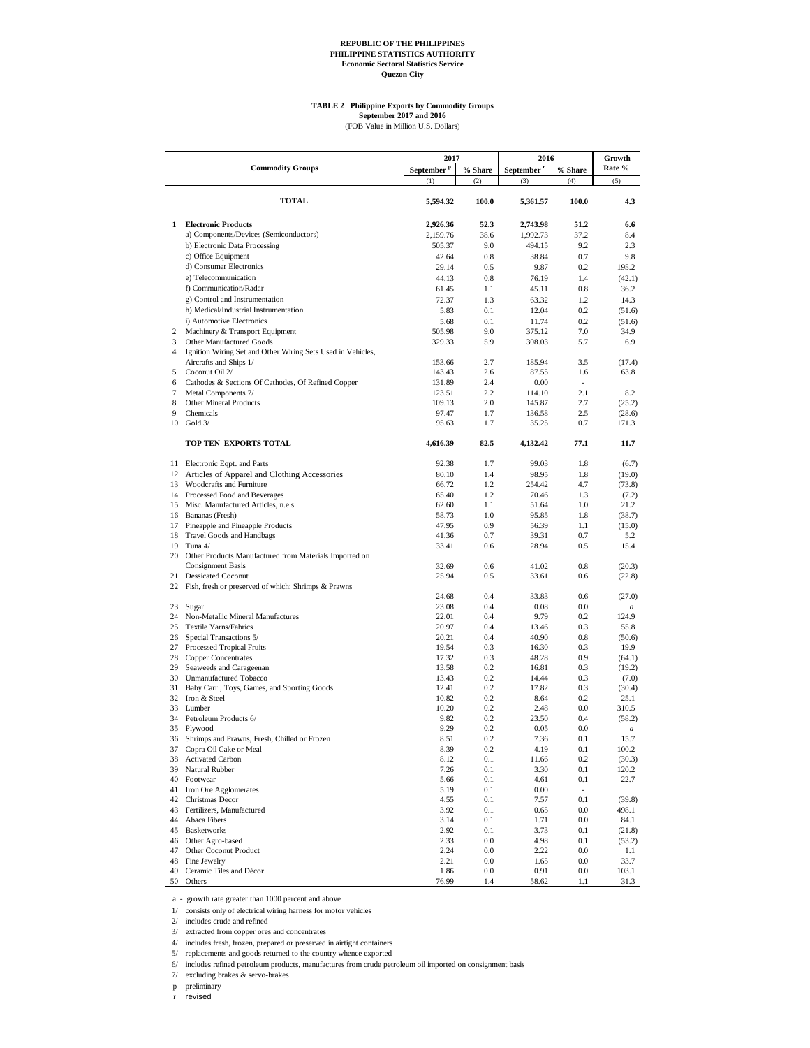## **TABLE 2 Philippine Exports by Commodity Groups September 2017 and 2016**

(FOB Value in Million U.S. Dollars)

|          | <b>Commodity Groups</b>                                              | 2017<br>September <sup>P</sup> | % Share      | 2016<br>September <sup>r</sup> | % Share                  | Growth<br>Rate % |
|----------|----------------------------------------------------------------------|--------------------------------|--------------|--------------------------------|--------------------------|------------------|
|          |                                                                      | (1)                            | (2)          | (3)                            | (4)                      | (5)              |
|          |                                                                      |                                |              |                                |                          |                  |
|          | <b>TOTAL</b>                                                         | 5,594.32                       | 100.0        | 5,361.57                       | 100.0                    | 4.3              |
|          |                                                                      |                                |              |                                |                          |                  |
| 1        | <b>Electronic Products</b><br>a) Components/Devices (Semiconductors) | 2,926.36<br>2,159.76           | 52.3<br>38.6 | 2,743.98<br>1,992.73           | 51.2<br>37.2             | 6.6<br>8.4       |
|          | b) Electronic Data Processing                                        | 505.37                         | 9.0          | 494.15                         | 9.2                      | 2.3              |
|          | c) Office Equipment                                                  | 42.64                          | 0.8          | 38.84                          | 0.7                      | 9.8              |
|          | d) Consumer Electronics                                              | 29.14                          | 0.5          | 9.87                           | 0.2                      | 195.2            |
|          | e) Telecommunication                                                 | 44.13                          | 0.8          | 76.19                          | 1.4                      | (42.1)           |
|          | f) Communication/Radar                                               | 61.45                          | 1.1          | 45.11                          | 0.8                      | 36.2             |
|          | g) Control and Instrumentation                                       | 72.37                          | 1.3          | 63.32                          | 1.2                      | 14.3             |
|          | h) Medical/Industrial Instrumentation                                | 5.83                           | 0.1          | 12.04                          | 0.2                      | (51.6)           |
|          | i) Automotive Electronics                                            | 5.68                           | 0.1          | 11.74                          | 0.2                      | (51.6)           |
| 2        | Machinery & Transport Equipment                                      | 505.98                         | 9.0          | 375.12                         | 7.0                      | 34.9             |
| 3        | Other Manufactured Goods                                             | 329.33                         | 5.9          | 308.03                         | 5.7                      | 6.9              |
| 4        | Ignition Wiring Set and Other Wiring Sets Used in Vehicles,          |                                |              |                                |                          |                  |
|          | Aircrafts and Ships 1/                                               | 153.66                         | 2.7          | 185.94                         | 3.5                      | (17.4)           |
| 5        | Coconut Oil 2/                                                       | 143.43                         | 2.6          | 87.55                          | 1.6                      | 63.8             |
| 6        | Cathodes & Sections Of Cathodes, Of Refined Copper                   | 131.89                         | 2.4          | 0.00                           |                          |                  |
| 7        | Metal Components 7/                                                  | 123.51                         | 2.2          | 114.10                         | 2.1                      | 8.2              |
| 8        | Other Mineral Products                                               | 109.13                         | 2.0          | 145.87                         | 2.7                      | (25.2)           |
| 9        | Chemicals                                                            | 97.47                          | 1.7          | 136.58                         | 2.5                      | (28.6)           |
| 10       | Gold 3/                                                              | 95.63                          | 1.7          | 35.25                          | 0.7                      | 171.3            |
|          | TOP TEN EXPORTS TOTAL                                                | 4,616.39                       | 82.5         | 4,132.42                       | 77.1                     | 11.7             |
|          |                                                                      |                                |              |                                |                          |                  |
|          | 11 Electronic Eqpt. and Parts                                        | 92.38                          | 1.7          | 99.03                          | 1.8                      | (6.7)            |
| 12       | Articles of Apparel and Clothing Accessories                         | 80.10                          | 1.4          | 98.95                          | 1.8                      | (19.0)           |
| 13       | Woodcrafts and Furniture                                             | 66.72                          | 1.2          | 254.42                         | 4.7                      | (73.8)           |
| 14       | Processed Food and Beverages                                         | 65.40                          | 1.2          | 70.46                          | 1.3                      | (7.2)            |
|          | 15 Misc. Manufactured Articles, n.e.s.                               | 62.60                          | 1.1          | 51.64                          | 1.0                      | 21.2             |
|          | 16 Bananas (Fresh)                                                   | 58.73<br>47.95                 | 1.0          | 95.85                          | 1.8                      | (38.7)           |
| 17       | Pineapple and Pineapple Products                                     | 41.36                          | 0.9<br>0.7   | 56.39                          | 1.1<br>0.7               | (15.0)           |
| 18<br>19 | Travel Goods and Handbags<br>Tuna 4/                                 | 33.41                          | 0.6          | 39.31<br>28.94                 | 0.5                      | 5.2<br>15.4      |
| 20       | Other Products Manufactured from Materials Imported on               |                                |              |                                |                          |                  |
|          | <b>Consignment Basis</b>                                             | 32.69                          | 0.6          | 41.02                          | 0.8                      | (20.3)           |
| 21       | <b>Dessicated Coconut</b>                                            | 25.94                          | 0.5          | 33.61                          | 0.6                      | (22.8)           |
| 22       | Fish, fresh or preserved of which: Shrimps & Prawns                  |                                |              |                                |                          |                  |
|          |                                                                      | 24.68                          | 0.4          | 33.83                          | 0.6                      | (27.0)           |
| 23       | Sugar                                                                | 23.08                          | 0.4          | 0.08                           | 0.0                      | $\boldsymbol{a}$ |
| 24       | Non-Metallic Mineral Manufactures                                    | 22.01                          | 0.4          | 9.79                           | 0.2                      | 124.9            |
| 25       | Textile Yarns/Fabrics                                                | 20.97                          | 0.4          | 13.46                          | 0.3                      | 55.8             |
| 26       | Special Transactions 5/                                              | 20.21                          | 0.4          | 40.90                          | 0.8                      | (50.6)           |
| 27       | Processed Tropical Fruits                                            | 19.54                          | 0.3          | 16.30                          | 0.3                      | 19.9             |
| 28       | <b>Copper Concentrates</b>                                           | 17.32                          | 0.3          | 48.28                          | 0.9                      | (64.1)           |
| 29       | Seaweeds and Carageenan                                              | 13.58                          | 0.2          | 16.81                          | 0.3                      | (19.2)           |
| 30       | Unmanufactured Tobacco                                               | 13.43                          | 0.2          | 14.44                          | 0.3                      | (7.0)            |
| 31       | Baby Carr., Toys, Games, and Sporting Goods                          | 12.41                          | 0.2          | 17.82                          | 0.3                      | (30.4)           |
|          | 32 Iron & Steel                                                      | 10.82                          | 0.2          | 8.64                           | 0.2                      | 25.1             |
| 33       | Lumber                                                               | 10.20                          | 0.2          | 2.48                           | 0.0                      | 310.5            |
| 34       | Petroleum Products 6/                                                | 9.82                           | 0.2          | 23.50                          | 0.4                      | (58.2)           |
| 35       | Plywood                                                              | 9.29                           | 0.2          | 0.05                           | 0.0                      | $\boldsymbol{a}$ |
|          | 36 Shrimps and Prawns, Fresh, Chilled or Frozen                      | 8.51                           | 0.2          | 7.36                           | 0.1                      | 15.7             |
| 37<br>38 | Copra Oil Cake or Meal                                               | 8.39                           | 0.2          | 4.19                           | 0.1                      | 100.2            |
| 39       | <b>Activated Carbon</b><br>Natural Rubber                            | 8.12                           | 0.1          | 11.66                          | 0.2                      | (30.3)           |
| 40       | Footwear                                                             | 7.26<br>5.66                   | 0.1<br>0.1   | 3.30<br>4.61                   | 0.1<br>0.1               | 120.2<br>22.7    |
| 41       | Iron Ore Agglomerates                                                | 5.19                           | 0.1          | 0.00                           | $\overline{\phantom{a}}$ |                  |
| 42       | Christmas Decor                                                      | 4.55                           | 0.1          | 7.57                           | 0.1                      | (39.8)           |
| 43       | Fertilizers, Manufactured                                            | 3.92                           | 0.1          | 0.65                           | 0.0                      | 498.1            |
| 44       | Abaca Fibers                                                         | 3.14                           | 0.1          | 1.71                           | 0.0                      | 84.1             |
| 45       | <b>Basketworks</b>                                                   | 2.92                           | 0.1          | 3.73                           | 0.1                      | (21.8)           |
| 46       | Other Agro-based                                                     | 2.33                           | $0.0\,$      | 4.98                           | 0.1                      | (53.2)           |
| 47       | Other Coconut Product                                                | 2.24                           | 0.0          | 2.22                           | 0.0                      | 1.1              |
| 48       | Fine Jewelry                                                         | 2.21                           | 0.0          | 1.65                           | 0.0                      | 33.7             |
| 49       | Ceramic Tiles and Décor                                              | 1.86                           | 0.0          | 0.91                           | 0.0                      | 103.1            |
| 50       | Others                                                               | 76.99                          | 1.4          | 58.62                          | 1.1                      | 31.3             |

a - growth rate greater than 1000 percent and above

1/ consists only of electrical wiring harness for motor vehicles

2/ includes crude and refined

3/ extracted from copper ores and concentrates

4/ includes fresh, frozen, prepared or preserved in airtight containers

5/ replacements and goods returned to the country whence exported

6/ includes refined petroleum products, manufactures from crude petroleum oil imported on consignment basis

7/ excluding brakes & servo-brakes

p preliminary

r revised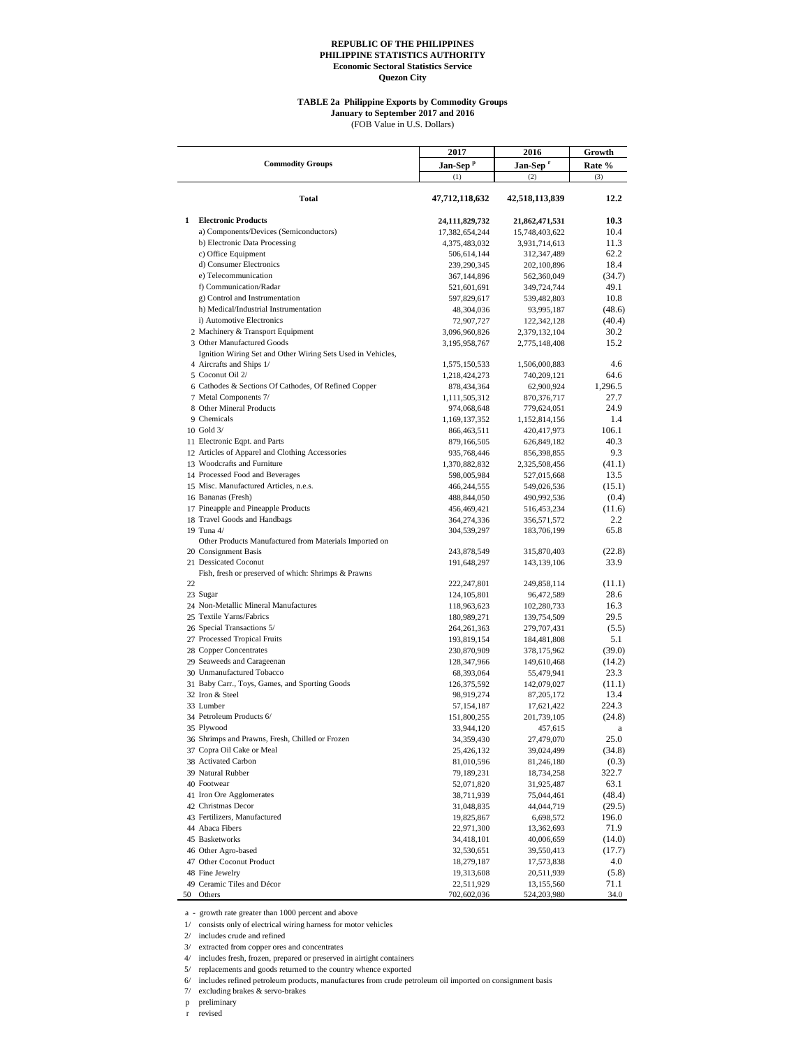#### **TABLE 2a Philippine Exports by Commodity Groups**

**January to September 2017 and 2016**

(FOB Value in U.S. Dollars)

|    |                                                             | 2017                 | 2016                 | Growth  |
|----|-------------------------------------------------------------|----------------------|----------------------|---------|
|    | <b>Commodity Groups</b>                                     | Jan-Sep <sup>p</sup> | Jan-Sep <sup>r</sup> | Rate %  |
|    |                                                             | (1)                  | (2)                  | (3)     |
|    | Total                                                       | 47,712,118,632       | 42,518,113,839       | 12.2    |
| 1  | <b>Electronic Products</b>                                  | 24,111,829,732       | 21,862,471,531       | 10.3    |
|    | a) Components/Devices (Semiconductors)                      | 17,382,654,244       | 15,748,403,622       | 10.4    |
|    | b) Electronic Data Processing                               | 4,375,483,032        | 3,931,714,613        | 11.3    |
|    | c) Office Equipment                                         | 506,614,144          | 312,347,489          | 62.2    |
|    | d) Consumer Electronics                                     | 239,290,345          | 202,100,896          | 18.4    |
|    | e) Telecommunication                                        | 367,144,896          | 562,360,049          | (34.7)  |
|    | f) Communication/Radar                                      | 521,601,691          | 349,724,744          | 49.1    |
|    | g) Control and Instrumentation                              |                      |                      | 10.8    |
|    | h) Medical/Industrial Instrumentation                       | 597,829,617          | 539,482,803          | (48.6)  |
|    | i) Automotive Electronics                                   | 48,304,036           | 93,995,187           |         |
|    |                                                             | 72,907,727           | 122,342,128          | (40.4)  |
|    | 2 Machinery & Transport Equipment                           | 3,096,960,826        | 2,379,132,104        | 30.2    |
|    | 3 Other Manufactured Goods                                  | 3,195,958,767        | 2,775,148,408        | 15.2    |
|    | Ignition Wiring Set and Other Wiring Sets Used in Vehicles, |                      |                      |         |
|    | 4 Aircrafts and Ships 1/                                    | 1,575,150,533        | 1,506,000,883        | 4.6     |
|    | 5 Coconut Oil 2/                                            | 1,218,424,273        | 740,209,121          | 64.6    |
|    | 6 Cathodes & Sections Of Cathodes, Of Refined Copper        | 878,434,364          | 62,900,924           | 1,296.5 |
|    | 7 Metal Components 7/                                       | 1,111,505,312        | 870,376,717          | 27.7    |
|    | 8 Other Mineral Products                                    | 974,068,648          | 779,624,051          | 24.9    |
|    | 9 Chemicals                                                 | 1,169,137,352        | 1,152,814,156        | 1.4     |
|    | 10 Gold 3/                                                  | 866, 463, 511        | 420,417,973          | 106.1   |
|    | 11 Electronic Eqpt. and Parts                               | 879,166,505          | 626,849,182          | 40.3    |
|    | 12 Articles of Apparel and Clothing Accessories             | 935,768,446          | 856,398,855          | 9.3     |
|    | 13 Woodcrafts and Furniture                                 | 1,370,882,832        | 2,325,508,456        | (41.1)  |
|    | 14 Processed Food and Beverages                             | 598,005,984          | 527,015,668          | 13.5    |
|    | 15 Misc. Manufactured Articles, n.e.s.                      | 466,244,555          | 549,026,536          | (15.1)  |
|    | 16 Bananas (Fresh)                                          | 488,844,050          | 490,992,536          | (0.4)   |
|    | 17 Pineapple and Pineapple Products                         | 456,469,421          | 516,453,234          | (11.6)  |
|    | 18 Travel Goods and Handbags                                | 364,274,336          | 356,571,572          | 2.2     |
|    | 19 Tuna 4/                                                  | 304,539,297          | 183,706,199          | 65.8    |
|    | Other Products Manufactured from Materials Imported on      |                      |                      |         |
|    | 20 Consignment Basis                                        | 243,878,549          | 315,870,403          | (22.8)  |
|    | 21 Dessicated Coconut                                       | 191,648,297          | 143,139,106          | 33.9    |
|    | Fish, fresh or preserved of which: Shrimps & Prawns         |                      |                      |         |
| 22 |                                                             | 222,247,801          | 249,858,114          | (11.1)  |
|    | 23 Sugar                                                    | 124, 105, 801        | 96,472,589           | 28.6    |
|    | 24 Non-Metallic Mineral Manufactures                        | 118,963,623          | 102,280,733          | 16.3    |
|    | 25 Textile Yarns/Fabrics                                    | 180,989,271          | 139,754,509          | 29.5    |
|    | 26 Special Transactions 5/                                  | 264, 261, 363        | 279,707,431          | (5.5)   |
|    | 27 Processed Tropical Fruits                                | 193,819,154          | 184,481,808          | 5.1     |
|    | 28 Copper Concentrates                                      | 230,870,909          | 378,175,962          | (39.0)  |
|    | 29 Seaweeds and Carageenan                                  | 128, 347, 966        | 149,610,468          | (14.2)  |
|    | 30 Unmanufactured Tobacco                                   | 68,393,064           | 55,479,941           | 23.3    |
|    | 31 Baby Carr., Toys, Games, and Sporting Goods              | 126, 375, 592        | 142,079,027          | (11.1)  |
|    | 32 Iron & Steel                                             | 98,919,274           | 87, 205, 172         | 13.4    |
|    | 33 Lumber                                                   |                      |                      | 224.3   |
|    | 34 Petroleum Products 6/                                    | 57,154,187           | 17,621,422           | (24.8)  |
|    |                                                             | 151,800,255          | 201,739,105          |         |
|    | 35 Plywood                                                  | 33,944,120           | 457,615              | a       |
|    | 36 Shrimps and Prawns, Fresh, Chilled or Frozen             | 34,359,430           | 27,479,070           | 25.0    |
|    | 37 Copra Oil Cake or Meal                                   | 25,426,132           | 39,024,499           | (34.8)  |
|    | 38 Activated Carbon                                         | 81,010,596           | 81,246,180           | (0.3)   |
|    | 39 Natural Rubber                                           | 79,189,231           | 18,734,258           | 322.7   |
|    | 40 Footwear                                                 | 52,071,820           | 31,925,487           | 63.1    |
|    | 41 Iron Ore Agglomerates                                    | 38,711,939           | 75,044,461           | (48.4)  |
|    | 42 Christmas Decor                                          | 31,048,835           | 44,044,719           | (29.5)  |
|    | 43 Fertilizers, Manufactured                                | 19,825,867           | 6,698,572            | 196.0   |
|    | 44 Abaca Fibers                                             | 22,971,300           | 13,362,693           | 71.9    |
|    | 45 Basketworks                                              | 34,418,101           | 40,006,659           | (14.0)  |
|    | 46 Other Agro-based                                         | 32,530,651           | 39,550,413           | (17.7)  |
|    | 47 Other Coconut Product                                    | 18,279,187           | 17,573,838           | 4.0     |
|    | 48 Fine Jewelry                                             | 19,313,608           | 20,511,939           | (5.8)   |
|    | 49 Ceramic Tiles and Décor                                  | 22,511,929           | 13,155,560           | 71.1    |
| 50 | Others                                                      | 702,602,036          | 524,203,980          | 34.0    |

a - growth rate greater than 1000 percent and above

1/ consists only of electrical wiring harness for motor vehicles

2/ includes crude and refined

3/ extracted from copper ores and concentrates

4/ includes fresh, frozen, prepared or preserved in airtight containers

5/ replacements and goods returned to the country whence exported

6/ includes refined petroleum products, manufactures from crude petroleum oil imported on consignment basis

7/ excluding brakes & servo-brakes

p preliminary

r revised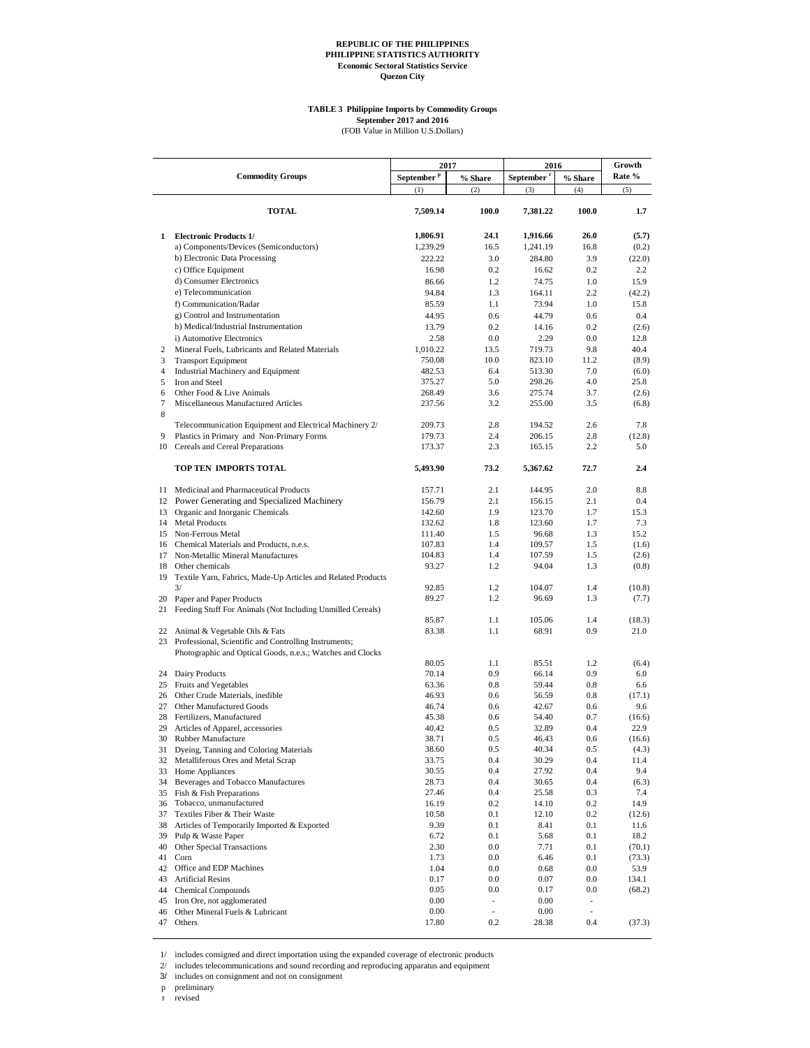#### **TABLE 3 Philippine Imports by Commodity Groups September 2017 and 2016**

(FOB Value in Million U.S.Dollars)

|                |                                                              | 2017                   |                          | 2016                   | Growth                      |                 |
|----------------|--------------------------------------------------------------|------------------------|--------------------------|------------------------|-----------------------------|-----------------|
|                | <b>Commodity Groups</b>                                      | September <sup>p</sup> | % Share                  | September <sup>r</sup> | % Share                     | Rate %          |
|                |                                                              | (1)                    | (2)                      | (3)                    | (4)                         | (5)             |
|                | <b>TOTAL</b>                                                 | 7,509.14               | 100.0                    | 7,381.22               | 100.0                       | 1.7             |
| 1              | <b>Electronic Products 1/</b>                                | 1,806.91               | 24.1                     | 1,916.66               | 26.0                        | (5.7)           |
|                | a) Components/Devices (Semiconductors)                       | 1,239.29               | 16.5                     | 1,241.19               | 16.8                        | (0.2)           |
|                | b) Electronic Data Processing                                | 222.22                 | 3.0                      | 284.80                 | 3.9                         | (22.0)          |
|                | c) Office Equipment                                          | 16.98                  | 0.2                      | 16.62                  | 0.2                         | 2.2             |
|                | d) Consumer Electronics                                      | 86.66                  | 1.2                      | 74.75                  | 1.0                         | 15.9            |
|                | e) Telecommunication                                         | 94.84                  | 1.3                      | 164.11                 | 2.2                         | (42.2)          |
|                | f) Communication/Radar                                       | 85.59                  | 1.1                      | 73.94                  | 1.0                         | 15.8            |
|                | g) Control and Instrumentation                               | 44.95                  | 0.6                      | 44.79                  | 0.6                         | 0.4             |
|                | h) Medical/Industrial Instrumentation                        | 13.79                  | 0.2                      | 14.16                  | 0.2                         | (2.6)           |
|                | i) Automotive Electronics                                    | 2.58                   | 0.0                      | 2.29                   | 0.0                         | 12.8            |
| 2              | Mineral Fuels, Lubricants and Related Materials              | 1,010.22               | 13.5                     | 719.73                 | 9.8                         | 40.4            |
| 3              | <b>Transport Equipment</b>                                   | 750.08                 | 10.0                     | 823.10                 | 11.2                        | (8.9)           |
| $\overline{4}$ | Industrial Machinery and Equipment                           | 482.53                 | 6.4                      | 513.30                 | 7.0                         | (6.0)           |
| 5              | Iron and Steel                                               | 375.27                 | 5.0                      | 298.26                 | 4.0                         | 25.8            |
| 6              | Other Food & Live Animals                                    | 268.49                 | 3.6                      | 275.74                 | 3.7                         | (2.6)           |
| $\tau$         | Miscellaneous Manufactured Articles                          | 237.56                 | 3.2                      | 255.00                 | 3.5                         | (6.8)           |
| $\,$ 8 $\,$    |                                                              |                        |                          |                        |                             |                 |
|                | Telecommunication Equipment and Electrical Machinery 2/      | 209.73                 | 2.8                      | 194.52                 | 2.6                         | 7.8             |
| 9              | Plastics in Primary and Non-Primary Forms                    | 179.73                 | 2.4                      | 206.15                 | 2.8                         | (12.8)          |
|                | 10 Cereals and Cereal Preparations                           | 173.37                 | 2.3                      | 165.15                 | 2.2                         | 5.0             |
|                | TOP TEN IMPORTS TOTAL                                        | 5,493.90               | 73.2                     | 5,367.62               | 72.7                        | 2.4             |
|                | 11 Medicinal and Pharmaceutical Products                     | 157.71                 | 2.1                      | 144.95                 | 2.0                         | 8.8             |
|                | 12 Power Generating and Specialized Machinery                | 156.79                 | 2.1                      | 156.15                 | 2.1                         | 0.4             |
| 13             |                                                              | 142.60                 | 1.9                      | 123.70                 | 1.7                         | 15.3            |
|                | Organic and Inorganic Chemicals<br>14 Metal Products         | 132.62                 | 1.8                      | 123.60                 | 1.7                         | 7.3             |
|                | 15 Non-Ferrous Metal                                         | 111.40                 | 1.5                      | 96.68                  | 1.3                         | 15.2            |
|                | 16 Chemical Materials and Products, n.e.s.                   | 107.83                 | 1.4                      | 109.57                 | 1.5                         | (1.6)           |
|                | 17 Non-Metallic Mineral Manufactures                         | 104.83                 | 1.4                      | 107.59                 | 1.5                         | (2.6)           |
|                | 18 Other chemicals                                           | 93.27                  | 1.2                      | 94.04                  | 1.3                         | (0.8)           |
| 19             | Textile Yarn, Fabrics, Made-Up Articles and Related Products |                        |                          |                        |                             |                 |
|                | 3/                                                           | 92.85                  | 1.2                      | 104.07                 | 1.4                         | (10.8)          |
|                | 20 Paper and Paper Products                                  | 89.27                  | 1.2                      | 96.69                  | 1.3                         | (7.7)           |
| 21             | Feeding Stuff For Animals (Not Including Unmilled Cereals)   |                        |                          |                        |                             |                 |
|                |                                                              | 85.87                  | 1.1                      | 105.06                 | 1.4                         | (18.3)          |
|                | 22 Animal & Vegetable Oils & Fats                            | 83.38                  | 1.1                      | 68.91                  | 0.9                         | 21.0            |
| 23             | Professional, Scientific and Controlling Instruments;        |                        |                          |                        |                             |                 |
|                | Photographic and Optical Goods, n.e.s.; Watches and Clocks   |                        |                          |                        |                             |                 |
|                |                                                              | 80.05                  | 1.1                      | 85.51                  | 1.2                         | (6.4)           |
|                | 24 Dairy Products                                            | 70.14                  | 0.9                      | 66.14                  | 0.9                         | 6.0             |
|                | 25 Fruits and Vegetables                                     | 63.36                  | 0.8                      | 59.44                  | 0.8                         | 6.6             |
|                | 26 Other Crude Materials, inedible                           | 46.93                  | 0.6                      | 56.59                  | 0.8                         | (17.1)          |
| 27             | Other Manufactured Goods                                     | 46.74                  | 0.6                      | 42.67                  | 0.6                         | 9.6             |
|                | 28 Fertilizers, Manufactured                                 | 45.38                  | 0.6                      | 54.40                  | 0.7                         | (16.6)          |
| 29             | Articles of Apparel, accessories                             | 40.42                  | 0.5                      | 32.89                  | 0.4                         | 22.9            |
| 30             | Rubber Manufacture                                           | 38.71                  | 0.5                      | 46.43                  | 0.6                         | (16.6)          |
| 31             | Dyeing, Tanning and Coloring Materials                       | 38.60                  | 0.5                      | 40.34                  | 0.5                         | (4.3)           |
| 32             | Metalliferous Ores and Metal Scrap                           | 33.75                  | 0.4                      | 30.29                  | 0.4                         | 11.4            |
| 33             | Home Appliances                                              | 30.55                  | 0.4                      | 27.92                  | 0.4                         | 9.4             |
| 34             | Beverages and Tobacco Manufactures                           | 28.73                  | 0.4                      | 30.65                  | 0.4                         | (6.3)           |
|                | 35 Fish & Fish Preparations                                  | 27.46                  | $0.4\,$                  | 25.58                  | 0.3                         | 7.4             |
| 36             | Tobacco, unmanufactured                                      | 16.19                  | $0.2\,$                  | 14.10                  | 0.2                         | 14.9            |
| 37             | Textiles Fiber & Their Waste                                 | 10.58                  | 0.1                      | 12.10                  | 0.2                         | (12.6)          |
| 38             | Articles of Temporarily Imported & Exported                  | 9.39                   | 0.1                      | 8.41                   | 0.1                         | 11.6            |
| 39             | Pulp & Waste Paper                                           | 6.72                   | 0.1                      | 5.68                   | 0.1                         | 18.2            |
| 40<br>41       | <b>Other Special Transactions</b><br>Corn                    | 2.30<br>1.73           | 0.0<br>0.0               | 7.71                   | 0.1<br>0.1                  | (70.1)          |
| 42             | Office and EDP Machines                                      | 1.04                   | 0.0                      | 6.46<br>0.68           | $0.0\,$                     | (73.3)          |
| 43             | <b>Artificial Resins</b>                                     |                        | 0.0                      |                        |                             | 53.9            |
| 44             | <b>Chemical Compounds</b>                                    | 0.17<br>0.05           | 0.0                      | 0.07<br>0.17           | $0.0\,$<br>0.0              | 134.1<br>(68.2) |
| 45             | Iron Ore, not agglomerated                                   | 0.00                   | $\overline{\phantom{a}}$ | 0.00                   | ÷                           |                 |
| 46             | Other Mineral Fuels & Lubricant                              | 0.00                   | ÷.                       | 0.00                   | $\mathcal{L}_{\mathcal{A}}$ |                 |
|                | 47 Others                                                    | 17.80                  | 0.2                      | 28.38                  | 0.4                         | (37.3)          |
|                |                                                              |                        |                          |                        |                             |                 |

1/ includes consigned and direct importation using the expanded coverage of electronic products

2/ includes telecommunications and sound recording and reproducing apparatus and equipment

3/ includes on consignment and not on consignment

p preliminary

r revised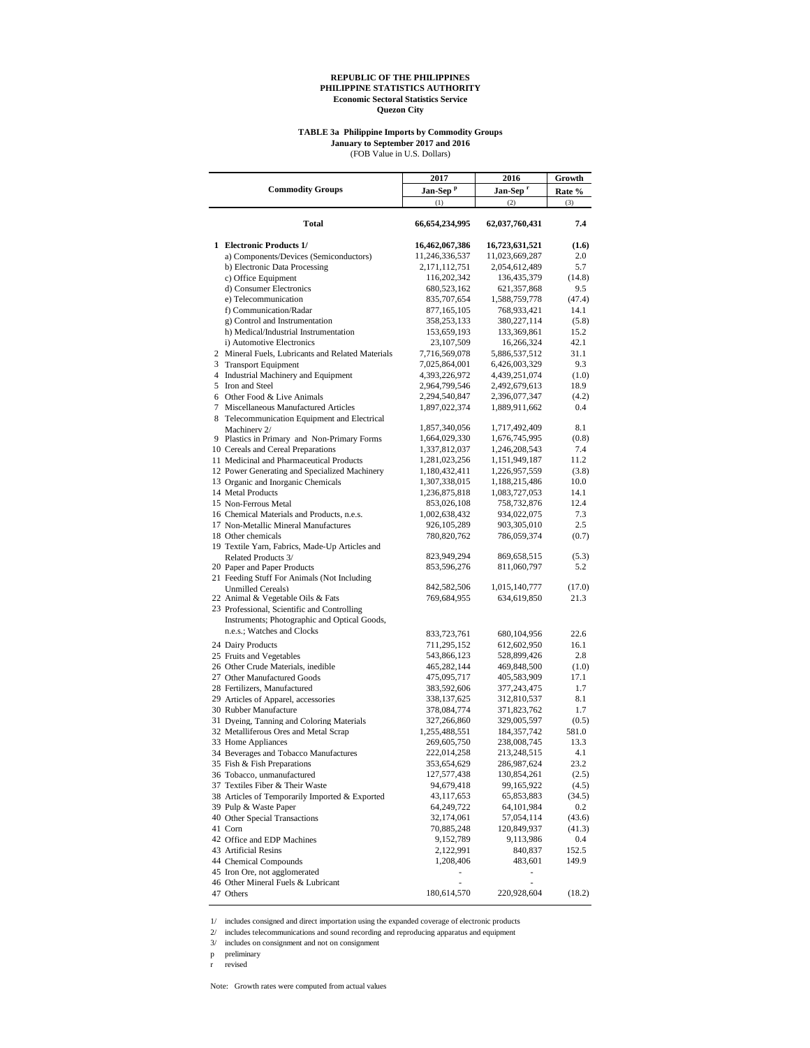#### **TABLE 3a Philippine Imports by Commodity Groups January to September 2017 and 2016**

(FOB Value in U.S. Dollars)

|                                                                    | 2017                         | 2016                         | Growth        |
|--------------------------------------------------------------------|------------------------------|------------------------------|---------------|
| <b>Commodity Groups</b>                                            | Jan-Sep <sup>p</sup>         | Jan-Sep <sup>r</sup>         | Rate %        |
|                                                                    | (1)                          | (2)                          | (3)           |
| Total                                                              | 66,654,234,995               | 62,037,760,431               | 7.4           |
| 1 Electronic Products 1/                                           | 16,462,067,386               | 16,723,631,521               | (1.6)         |
| a) Components/Devices (Semiconductors)                             | 11,246,336,537               | 11,023,669,287               | 2.0           |
| b) Electronic Data Processing                                      | 2, 171, 112, 751             | 2,054,612,489                | 5.7           |
| c) Office Equipment                                                | 116,202,342                  | 136,435,379                  | (14.8)        |
| d) Consumer Electronics                                            | 680,523,162                  | 621, 357, 868                | 9.5           |
| e) Telecommunication                                               | 835,707,654                  | 1,588,759,778                | (47.4)        |
| f) Communication/Radar                                             | 877,165,105                  | 768,933,421                  | 14.1          |
| g) Control and Instrumentation                                     | 358,253,133                  | 380,227,114<br>133,369,861   | (5.8)<br>15.2 |
| h) Medical/Industrial Instrumentation<br>i) Automotive Electronics | 153,659,193<br>23, 107, 509  | 16,266,324                   | 42.1          |
| 2 Mineral Fuels, Lubricants and Related Materials                  | 7,716,569,078                | 5,886,537,512                | 31.1          |
| 3 Transport Equipment                                              | 7,025,864,001                | 6,426,003,329                | 9.3           |
| 4 Industrial Machinery and Equipment                               | 4,393,226,972                | 4,439,251,074                | (1.0)         |
| 5 Iron and Steel                                                   | 2,964,799,546                | 2,492,679,613                | 18.9          |
| 6 Other Food & Live Animals                                        | 2,294,540,847                | 2,396,077,347                | (4.2)         |
| 7 Miscellaneous Manufactured Articles                              | 1,897,022,374                | 1,889,911,662                | 0.4           |
| 8 Telecommunication Equipment and Electrical                       |                              |                              |               |
| Machinery 2/                                                       | 1,857,340,056                | 1,717,492,409                | 8.1           |
| 9 Plastics in Primary and Non-Primary Forms                        | 1,664,029,330                | 1,676,745,995                | (0.8)         |
| 10 Cereals and Cereal Preparations                                 | 1,337,812,037                | 1,246,208,543                | 7.4           |
| 11 Medicinal and Pharmaceutical Products                           | 1,281,023,256                | 1,151,949,187                | 11.2          |
| 12 Power Generating and Specialized Machinery                      | 1,180,432,411                | 1,226,957,559                | (3.8)         |
| 13 Organic and Inorganic Chemicals                                 | 1,307,338,015                | 1,188,215,486                | 10.0          |
| 14 Metal Products<br>15 Non-Ferrous Metal                          | 1,236,875,818                | 1,083,727,053<br>758,732,876 | 14.1<br>12.4  |
| 16 Chemical Materials and Products, n.e.s.                         | 853,026,108<br>1,002,638,432 | 934,022,075                  | 7.3           |
| 17 Non-Metallic Mineral Manufactures                               | 926, 105, 289                | 903,305,010                  | 2.5           |
| 18 Other chemicals                                                 | 780,820,762                  | 786,059,374                  | (0.7)         |
| 19 Textile Yarn, Fabrics, Made-Up Articles and                     |                              |                              |               |
| Related Products 3/                                                | 823,949,294                  | 869,658,515                  | (5.3)         |
| 20 Paper and Paper Products                                        | 853,596,276                  | 811,060,797                  | 5.2           |
| 21 Feeding Stuff For Animals (Not Including                        |                              |                              |               |
| Unmilled Cereals)                                                  | 842,582,506                  | 1,015,140,777                | (17.0)        |
| 22 Animal & Vegetable Oils & Fats                                  | 769,684,955                  | 634,619,850                  | 21.3          |
| 23 Professional, Scientific and Controlling                        |                              |                              |               |
| Instruments; Photographic and Optical Goods,                       |                              |                              |               |
| n.e.s.; Watches and Clocks                                         | 833,723,761                  | 680,104,956                  | 22.6          |
| 24 Dairy Products                                                  | 711,295,152                  | 612,602,950                  | 16.1          |
| 25 Fruits and Vegetables                                           | 543,866,123                  | 528,899,426                  | 2.8           |
| 26 Other Crude Materials, inedible                                 | 465,282,144                  | 469,848,500                  | (1.0)         |
| 27 Other Manufactured Goods<br>28 Fertilizers, Manufactured        | 475,095,717                  | 405,583,909<br>377,243,475   | 17.1          |
| 29 Articles of Apparel, accessories                                | 383,592,606<br>338, 137, 625 | 312,810,537                  | 1.7<br>8.1    |
| 30 Rubber Manufacture                                              | 378,084,774                  | 371,823,762                  | 1.7           |
| 31 Dyeing, Tanning and Coloring Materials                          | 327,266,860                  | 329,005,597                  | (0.5)         |
| 32 Metalliferous Ores and Metal Scrap                              | 1,255,488,551                | 184, 357, 742                | 581.0         |
| 33 Home Appliances                                                 | 269,605,750                  | 238,008,745                  | 13.3          |
| 34 Beverages and Tobacco Manufactures                              | 222,014,258                  | 213,248,515                  | 4.1           |
| 35 Fish & Fish Preparations                                        | 353,654,629                  | 286,987,624                  | 23.2          |
| 36 Tobacco, unmanufactured                                         | 127,577,438                  | 130,854,261                  | (2.5)         |
| 37 Textiles Fiber & Their Waste                                    | 94,679,418                   | 99,165,922                   | (4.5)         |
| 38 Articles of Temporarily Imported & Exported                     | 43,117,653                   | 65,853,883                   | (34.5)        |
| 39 Pulp & Waste Paper                                              | 64,249,722                   | 64,101,984                   | 0.2           |
| 40 Other Special Transactions                                      | 32,174,061                   | 57,054,114                   | (43.6)        |
| 41 Corn                                                            | 70,885,248                   | 120,849,937                  | (41.3)        |
| 42 Office and EDP Machines                                         | 9,152,789                    | 9,113,986                    | 0.4           |
| 43 Artificial Resins                                               | 2,122,991                    | 840,837                      | 152.5         |
| 44 Chemical Compounds                                              | 1,208,406                    | 483,601                      | 149.9         |
| 45 Iron Ore, not agglomerated                                      |                              |                              |               |
| 46 Other Mineral Fuels & Lubricant<br>47 Others                    | 180,614,570                  | 220,928,604                  | (18.2)        |
|                                                                    |                              |                              |               |

1/ includes consigned and direct importation using the expanded coverage of electronic products

2/ includes telecommunications and sound recording and reproducing apparatus and equipment

3/ includes on consignment and not on consignment

p preliminary

r revised

Note: Growth rates were computed from actual values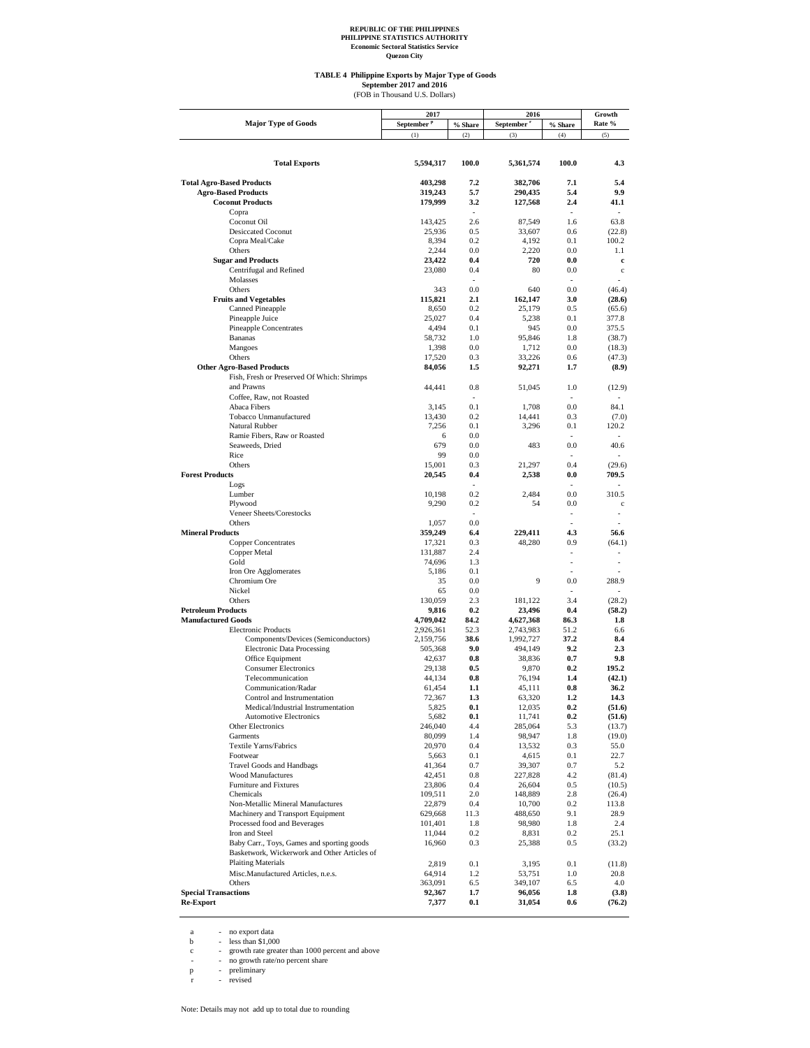**TABLE 4 Philippine Exports by Major Type of Goods** September 2017 and 2016<br>(FOB in Thousand U.S. Dollars)

|                                                                   | 2017                   |                | 2016                   | Growth         |                  |
|-------------------------------------------------------------------|------------------------|----------------|------------------------|----------------|------------------|
| <b>Major Type of Goods</b>                                        | September <sup>P</sup> | % Share        | September <sup>r</sup> | % Share        | Rate %           |
|                                                                   | (1)                    | (2)            | (3)                    | (4)            | (5)              |
|                                                                   |                        |                |                        |                |                  |
| <b>Total Exports</b>                                              | 5,594,317              | 100.0          | 5,361,574              | 100.0          | 4.3              |
|                                                                   |                        |                |                        |                |                  |
| <b>Total Agro-Based Products</b>                                  | 403,298                | 7.2            | 382,706                | 7.1            | 5.4              |
| <b>Agro-Based Products</b>                                        | 319,243                | 5.7            | 290,435                | 5.4            | 9.9              |
| <b>Coconut Products</b>                                           | 179,999                | 3.2<br>ä,      | 127,568                | 2.4<br>÷.      | 41.1             |
| Copra<br>Coconut Oil                                              | 143,425                | 2.6            | 87,549                 | 1.6            | 63.8             |
| Desiccated Coconut                                                | 25,936                 | 0.5            | 33,607                 | 0.6            | (22.8)           |
| Copra Meal/Cake                                                   | 8,394                  | 0.2            | 4,192                  | 0.1            | 100.2            |
| Others                                                            | 2,244                  | 0.0            | 2,220                  | 0.0            | 1.1              |
| <b>Sugar and Products</b>                                         | 23,422                 | 0.4            | 720                    | 0.0            | c                |
| Centrifugal and Refined<br>Molasses                               | 23,080                 | 0.4            | 80                     | 0.0            | $\mathbf c$      |
| Others                                                            | 343                    | 0.0            | 640                    | 0.0            | (46.4)           |
| <b>Fruits and Vegetables</b>                                      | 115,821                | 2.1            | 162,147                | 3.0            | (28.6)           |
| Canned Pineapple                                                  | 8,650                  | 0.2            | 25,179                 | 0.5            | (65.6)           |
| Pineapple Juice                                                   | 25,027                 | 0.4            | 5,238                  | 0.1            | 377.8            |
| <b>Pineapple Concentrates</b>                                     | 4,494                  | 0.1            | 945                    | 0.0            | 375.5            |
| <b>Bananas</b>                                                    | 58,732                 | 1.0            | 95,846                 | 1.8            | (38.7)           |
| Mangoes<br>Others                                                 | 1,398<br>17,520        | 0.0<br>0.3     | 1,712<br>33,226        | 0.0<br>0.6     | (18.3)<br>(47.3) |
| <b>Other Agro-Based Products</b>                                  | 84,056                 | 1.5            | 92,271                 | 1.7            | (8.9)            |
| Fish, Fresh or Preserved Of Which: Shrimps                        |                        |                |                        |                |                  |
| and Prawns                                                        | 44,441                 | 0.8            | 51,045                 | 1.0            | (12.9)           |
| Coffee, Raw, not Roasted                                          |                        | ÷.             |                        | $\overline{a}$ |                  |
| Abaca Fibers                                                      | 3,145                  | 0.1            | 1,708                  | 0.0            | 84.1             |
| Tobacco Unmanufactured                                            | 13,430                 | 0.2            | 14,441                 | 0.3            | (7.0)            |
| Natural Rubber<br>Ramie Fibers, Raw or Roasted                    | 7,256                  | 0.1<br>0.0     | 3,296                  | 0.1            | 120.2            |
| Seaweeds, Dried                                                   | 6<br>679               | 0.0            | 483                    | 0.0            | 40.6             |
| Rice                                                              | 99                     | 0.0            |                        |                |                  |
| Others                                                            | 15,001                 | 0.3            | 21.297                 | 0.4            | (29.6)           |
| <b>Forest Products</b>                                            | 20,545                 | 0.4            | 2,538                  | 0.0            | 709.5            |
| Logs                                                              |                        | $\overline{a}$ |                        | $\overline{a}$ |                  |
| Lumber                                                            | 10,198                 | 0.2            | 2,484                  | 0.0            | 310.5            |
| Plywood<br>Veneer Sheets/Corestocks                               | 9,290                  | 0.2<br>÷.      | 54                     | 0.0<br>÷.      | $\mathbf c$      |
| Others                                                            | 1,057                  | 0.0            |                        |                |                  |
| <b>Mineral Products</b>                                           | 359,249                | 6.4            | 229,411                | 4.3            | 56.6             |
| <b>Copper Concentrates</b>                                        | 17,321                 | 0.3            | 48,280                 | 0.9            | (64.1)           |
| Copper Metal                                                      | 131,887                | 2.4            |                        | $\sim$         |                  |
| Gold                                                              | 74,696                 | 1.3            |                        | ÷,             |                  |
| Iron Ore Agglomerates                                             | 5,186                  | 0.1            |                        |                |                  |
| Chromium Ore<br>Nickel                                            | 35<br>65               | 0.0<br>0.0     | 9                      | 0.0            | 288.9            |
| Others                                                            | 130,059                | 2.3            | 181,122                | 3.4            | (28.2)           |
| <b>Petroleum Products</b>                                         | 9,816                  | 0.2            | 23,496                 | 0.4            | (58.2)           |
| <b>Manufactured Goods</b>                                         | 4,709,042              | 84.2           | 4,627,368              | 86.3           | 1.8              |
| <b>Electronic Products</b>                                        | 2,926,361              | 52.3           | 2,743,983              | 51.2           | 6.6              |
| Components/Devices (Semiconductors)                               | 2,159,756              | 38.6           | 1,992,727              | 37.2           | 8.4              |
| <b>Electronic Data Processing</b>                                 | 505,368                | 9.0<br>0.8     | 494,149                | 9.2<br>0.7     | 2.3<br>9.8       |
| Office Equipment<br><b>Consumer Electronics</b>                   | 42,637<br>29,138       | 0.5            | 38,836<br>9,870        | 0.2            | 195.2            |
| Telecommunication                                                 | 44,134                 | 0.8            | 76,194                 | 1.4            | (42.1)           |
| Communication/Radar                                               | 61,454                 | 1.1            | 45,111                 | 0.8            | 36.2             |
| Control and Instrumentation                                       | 72,367                 | 1.3            | 63,320                 | 1.2            | 14.3             |
| Medical/Industrial Instrumentation                                | 5,825                  | $0.1\,$        | 12,035                 | 0.2            | (51.6)           |
| <b>Automotive Electronics</b>                                     | 5,682                  | 0.1            | 11,741                 | 0.2            | (51.6)           |
| Other Electronics                                                 | 246,040<br>80,099      | 4.4            | 285,064                | 5.3            | (13.7)           |
| Garments<br>Textile Yarns/Fabrics                                 | 20,970                 | 1.4<br>0.4     | 98,947<br>13,532       | 1.8<br>0.3     | (19.0)<br>55.0   |
| Footwear                                                          | 5,663                  | $0.1\,$        | 4,615                  | 0.1            | 22.7             |
| Travel Goods and Handbags                                         | 41,364                 | 0.7            | 39,307                 | 0.7            | 5.2              |
| <b>Wood Manufactures</b>                                          | 42,451                 | 0.8            | 227,828                | 4.2            | (81.4)           |
| Furniture and Fixtures                                            | 23,806                 | 0.4            | 26,604                 | 0.5            | (10.5)           |
| Chemicals                                                         | 109,511                | 2.0            | 148,889                | 2.8            | (26.4)           |
| Non-Metallic Mineral Manufactures                                 | 22,879<br>629,668      | 0.4<br>11.3    | 10,700<br>488,650      | 0.2<br>9.1     | 113.8            |
| Machinery and Transport Equipment<br>Processed food and Beverages | 101,401                | 1.8            | 98,980                 | 1.8            | 28.9<br>2.4      |
| Iron and Steel                                                    | 11,044                 | $0.2\,$        | 8,831                  | 0.2            | 25.1             |
| Baby Carr., Toys, Games and sporting goods                        | 16,960                 | 0.3            | 25,388                 | 0.5            | (33.2)           |
| Basketwork, Wickerwork and Other Articles of                      |                        |                |                        |                |                  |
| <b>Plaiting Materials</b>                                         | 2,819                  | 0.1            | 3,195                  | 0.1            | (11.8)           |
| Misc.Manufactured Articles, n.e.s.                                | 64,914                 | 1.2            | 53,751                 | $1.0\,$        | 20.8             |
| Others                                                            | 363,091                | 6.5            | 349,107                | 6.5            | 4.0              |
| <b>Special Transactions</b>                                       | 92,367                 | $1.7\,$        | 96,056                 | 1.8            | (3.8)            |
| Re-Export                                                         | 7,377                  | $0.1\,$        | 31,054                 | $0.6\,$        | (76.2)           |

a - no export data<br>
c - growth rate greater than 1000 percent and above<br>
c - growth rate/no percent share<br>
p - preliminary<br>
r - revised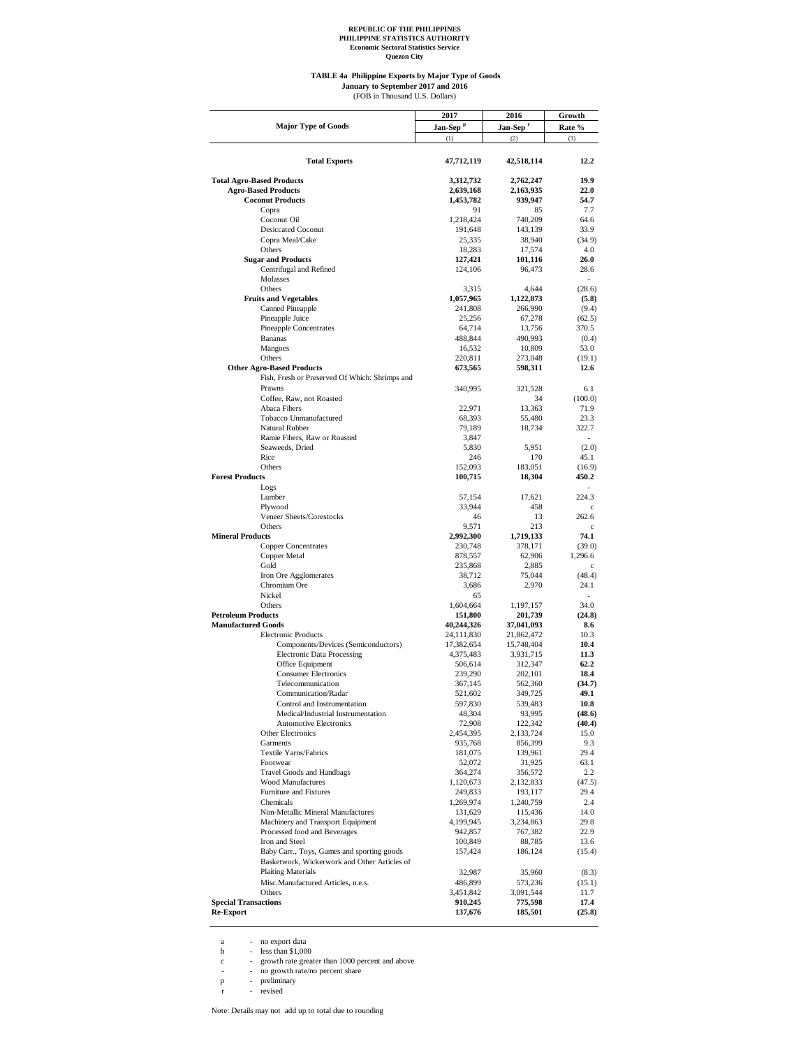**Quezon City**

#### **TABLE 4a Philippine Exports by Major Type of Goods** (FOB in Thousand U.S. Dollars) **January to September 2017 and 2016**

|                                                | 2017                 | 2016                 | Growth                   |  |
|------------------------------------------------|----------------------|----------------------|--------------------------|--|
| <b>Major Type of Goods</b>                     | Jan-Sep <sup>P</sup> | Jan-Sep <sup>r</sup> | Rate %                   |  |
|                                                | (1)                  | (2)                  | (3)                      |  |
|                                                |                      |                      |                          |  |
|                                                |                      |                      |                          |  |
| <b>Total Exports</b>                           | 47,712,119           | 42,518,114           | 12.2                     |  |
|                                                |                      |                      |                          |  |
| <b>Total Agro-Based Products</b>               | 3,312,732            | 2,762,247            | 19.9                     |  |
| <b>Agro-Based Products</b>                     | 2,639,168            | 2,163,935            | 22.0                     |  |
| <b>Coconut Products</b>                        | 1,453,782            | 939,947              | 54.7                     |  |
| Copra                                          | 91                   | 85                   | 7.7                      |  |
| Coconut Oil                                    | 1,218,424            | 740,209              | 64.6                     |  |
| <b>Desiccated Coconut</b>                      | 191,648              | 143,139              | 33.9                     |  |
|                                                |                      |                      |                          |  |
| Copra Meal/Cake                                | 25,335               | 38,940               | (34.9)                   |  |
| Others                                         | 18.283               | 17,574               | 4.0                      |  |
| <b>Sugar and Products</b>                      | 127,421              | 101,116              | 26.0                     |  |
| Centrifugal and Refined                        | 124,106              | 96,473               | 28.6                     |  |
| Molasses                                       |                      |                      | $\overline{a}$           |  |
| Others                                         | 3,315                | 4,644                | (28.6)                   |  |
| <b>Fruits and Vegetables</b>                   | 1,057,965            | 1,122,873            | (5.8)                    |  |
| Canned Pineapple                               | 241,808              | 266,990              | (9.4)                    |  |
| Pineapple Juice                                | 25,256               | 67,278               | (62.5)                   |  |
| Pineapple Concentrates                         | 64,714               | 13,756               | 370.5                    |  |
| <b>Bananas</b>                                 | 488,844              | 490,993              | (0.4)                    |  |
|                                                |                      |                      |                          |  |
| Mangoes                                        | 16,532               | 10,809               | 53.0                     |  |
| Others                                         | 220,811              | 273,048              | (19.1)                   |  |
| <b>Other Agro-Based Products</b>               | 673,565              | 598,311              | 12.6                     |  |
| Fish, Fresh or Preserved Of Which: Shrimps and |                      |                      |                          |  |
| Prawns                                         | 340,995              | 321,528              | 6.1                      |  |
| Coffee, Raw, not Roasted                       |                      | 34                   | (100.0)                  |  |
| Abaca Fibers                                   | 22,971               | 13,363               | 71.9                     |  |
| Tobacco Unmanufactured                         | 68,393               | 55,480               | 23.3                     |  |
| Natural Rubber                                 | 79,189               | 18,734               | 322.7                    |  |
| Ramie Fibers, Raw or Roasted                   | 3,847                |                      | $\overline{\phantom{a}}$ |  |
|                                                |                      |                      |                          |  |
| Seaweeds, Dried                                | 5,830                | 5,951                | (2.0)                    |  |
| Rice                                           | 246                  | 170                  | 45.1                     |  |
| Others                                         | 152,093              | 183,051              | (16.9)                   |  |
| <b>Forest Products</b>                         | 100,715              | 18,304               | 450.2                    |  |
| Logs                                           |                      |                      |                          |  |
| Lumber                                         | 57,154               | 17,621               | 224.3                    |  |
| Plywood                                        | 33,944               | 458                  | c                        |  |
| Veneer Sheets/Corestocks                       | 46                   | 13                   | 262.6                    |  |
| Others                                         | 9,571                | 213                  | c                        |  |
| <b>Mineral Products</b>                        | 2,992,300            | 1,719,133            | 74.1                     |  |
| <b>Copper Concentrates</b>                     |                      |                      |                          |  |
|                                                | 230,748              | 378,171              | (39.0)                   |  |
| Copper Metal                                   | 878,557              | 62,906               | 1,296.6                  |  |
| Gold                                           | 235,868              | 2,885                | c                        |  |
| Iron Ore Agglomerates                          | 38,712               | 75,044               | (48.4)                   |  |
| Chromium Ore                                   | 3,686                | 2,970                | 24.1                     |  |
| Nickel                                         | 65                   |                      |                          |  |
| Others                                         | 1,604,664            | 1,197,157            | 34.0                     |  |
| <b>Petroleum Products</b>                      | 151,800              | 201,739              | (24.8)                   |  |
| <b>Manufactured Goods</b>                      | 40,244,326           | 37,041,093           | 8.6                      |  |
| <b>Electronic Products</b>                     | 24,111,830           | 21,862,472           | 10.3                     |  |
| Components/Devices (Semiconductors)            | 17,382,654           | 15,748,404           | 10.4                     |  |
|                                                |                      |                      | 11.3                     |  |
| <b>Electronic Data Processing</b>              | 4,375,483            | 3,931,715            |                          |  |
| Office Equipment                               | 506,614              | 312,347              | 62.2                     |  |
| <b>Consumer Electronics</b>                    | 239,290              | 202,101              | 18.4                     |  |
| Telecommunication                              | 367,145              | 562,360              | (34.7)                   |  |
| Communication/Radar                            | 521,602              | 349,725              | 49.1                     |  |
| Control and Instrumentation                    | 597,830              | 539,483              | 10.8                     |  |
| Medical/Industrial Instrumentation             | 48,304               | 93,995               | (48.6)                   |  |
| <b>Automotive Electronics</b>                  | 72,908               | 122,342              | (40.4)                   |  |
| Other Electronics                              | 2,454,395            | 2,133,724            | 15.0                     |  |
| Garments                                       | 935,768              | 856,399              | 9.3                      |  |
| Textile Yarns/Fabrics                          | 181,075              | 139,961              | 29.4                     |  |
|                                                | 52,072               |                      |                          |  |
| Footwear<br><b>Travel Goods and Handbags</b>   |                      | 31,925               | 63.1<br>2.2              |  |
|                                                | 364,274              | 356,572              |                          |  |
| Wood Manufactures                              | 1,120,673            | 2,132,833            | (47.5)                   |  |
| Furniture and Fixtures                         | 249,833              | 193,117              | 29.4                     |  |
| Chemicals                                      | 1,269,974            | 1,240,759            | 2.4                      |  |
| Non-Metallic Mineral Manufactures              | 131,629              | 115,436              | 14.0                     |  |
| Machinery and Transport Equipment              | 4,199,945            | 3,234,863            | 29.8                     |  |
| Processed food and Beverages                   | 942,857              | 767,382              | 22.9                     |  |
| Iron and Steel                                 | 100,849              | 88,785               | 13.6                     |  |
| Baby Carr., Toys, Games and sporting goods     | 157,424              | 186,124              | (15.4)                   |  |
| Basketwork, Wickerwork and Other Articles of   |                      |                      |                          |  |
| <b>Plaiting Materials</b>                      | 32,987               |                      |                          |  |
|                                                |                      | 35,960               | (8.3)                    |  |
| Misc.Manufactured Articles, n.e.s.             | 486,899              | 573,236              | (15.1)                   |  |
| Others                                         | 3,451,842            | 3,091,544            | 11.7                     |  |
| <b>Special Transactions</b>                    | 910,245              | 775,598              | 17.4                     |  |
| <b>Re-Export</b>                               | 137,676              | 185,501              | (25.8)                   |  |
|                                                |                      |                      |                          |  |

a - no export data<br>
b - less than \$1,000<br>
c - growth rate greater than 1000 percent and above<br>
- no growth rate/no percent share<br>
p - preliminary<br>
r - revised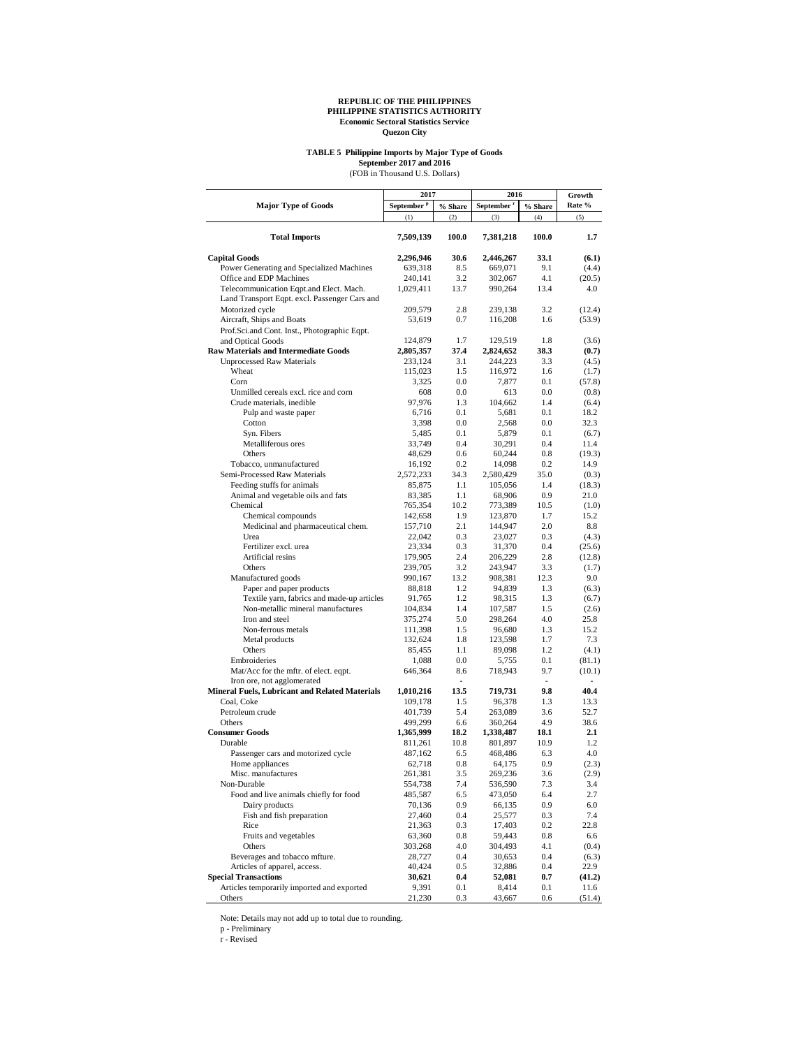## **TABLE 5 Philippine Imports by Major Type of Goods**

September 2017 and 2016<br>(FOB in Thousand U.S. Dollars)

|                                                                                     | 2017                   |                       | 2016           | Growth     |              |
|-------------------------------------------------------------------------------------|------------------------|-----------------------|----------------|------------|--------------|
| <b>Major Type of Goods</b>                                                          | September <sup>P</sup> | % Share               | September      | % Share    | Rate %       |
|                                                                                     | (1)                    | (2)                   | (3)            | (4)        | (5)          |
| <b>Total Imports</b>                                                                | 7,509,139              | 100.0                 | 7,381,218      | 100.0      | 1.7          |
| <b>Capital Goods</b>                                                                | 2,296,946              | 30.6                  | 2,446,267      | 33.1       | (6.1)        |
| Power Generating and Specialized Machines                                           | 639,318                | 8.5                   | 669,071        | 9.1        | (4.4)        |
| Office and EDP Machines                                                             | 240,141                | 3.2                   | 302,067        | 4.1        | (20.5)       |
| Telecommunication Eqpt.and Elect. Mach.                                             | 1,029,411              | 13.7                  | 990,264        | 13.4       | 4.0          |
| Land Transport Eqpt. excl. Passenger Cars and                                       |                        |                       |                |            |              |
| Motorized cycle                                                                     | 209,579                | 2.8                   | 239,138        | 3.2        | (12.4)       |
| Aircraft, Ships and Boats                                                           | 53,619                 | 0.7                   | 116,208        | 1.6        | (53.9)       |
| Prof.Sci.and Cont. Inst., Photographic Eqpt.                                        |                        |                       |                |            |              |
| and Optical Goods                                                                   | 124,879                | 1.7                   | 129,519        | 1.8        | (3.6)        |
| <b>Raw Materials and Intermediate Goods</b>                                         | 2,805,357              | 37.4                  | 2,824,652      | 38.3       | (0.7)        |
| <b>Unprocessed Raw Materials</b>                                                    | 233,124                | 3.1                   | 244,223        | 3.3        | (4.5)        |
| Wheat                                                                               | 115,023                | 1.5                   | 116,972        | 1.6        | (1.7)        |
| Corn                                                                                | 3,325                  | 0.0                   | 7,877          | 0.1        | (57.8)       |
| Unmilled cereals excl. rice and corn                                                | 608                    | 0.0                   | 613            | 0.0        | (0.8)        |
| Crude materials, inedible                                                           | 97,976                 | 1.3                   | 104,662        | 1.4        | (6.4)        |
| Pulp and waste paper<br>Cotton                                                      | 6,716<br>3,398         | 0.1<br>0.0            | 5,681<br>2,568 | 0.1<br>0.0 | 18.2<br>32.3 |
| Syn. Fibers                                                                         | 5,485                  | 0.1                   | 5,879          | 0.1        | (6.7)        |
| Metalliferous ores                                                                  | 33,749                 | 0.4                   | 30,291         | 0.4        | 11.4         |
| Others                                                                              | 48,629                 | 0.6                   | 60,244         | 0.8        | (19.3)       |
| Tobacco, unmanufactured                                                             | 16,192                 | 0.2                   | 14,098         | 0.2        | 14.9         |
| Semi-Processed Raw Materials                                                        | 2,572,233              | 34.3                  | 2,580,429      | 35.0       | (0.3)        |
| Feeding stuffs for animals                                                          | 85,875                 | 1.1                   | 105,056        | 1.4        | (18.3)       |
| Animal and vegetable oils and fats                                                  | 83,385                 | 1.1                   | 68,906         | 0.9        | 21.0         |
| Chemical                                                                            | 765,354                | 10.2                  | 773,389        | 10.5       | (1.0)        |
| Chemical compounds                                                                  | 142,658                | 1.9                   | 123,870        | 1.7        | 15.2         |
| Medicinal and pharmaceutical chem.                                                  | 157,710                | 2.1                   | 144,947        | 2.0        | 8.8          |
| Urea                                                                                | 22,042                 | 0.3                   | 23,027         | 0.3        | (4.3)        |
| Fertilizer excl. urea                                                               | 23,334                 | 0.3                   | 31,370         | 0.4        | (25.6)       |
| Artificial resins                                                                   | 179,905                | 2.4                   | 206,229        | 2.8        | (12.8)       |
| Others                                                                              | 239,705                | 3.2                   | 243,947        | 3.3        | (1.7)        |
| Manufactured goods                                                                  | 990,167                | 13.2                  | 908,381        | 12.3       | 9.0          |
| Paper and paper products                                                            | 88,818                 | 1.2                   | 94,839         | 1.3        | (6.3)        |
| Textile yarn, fabrics and made-up articles                                          | 91,765                 | 1.2                   | 98,315         | 1.3        | (6.7)        |
| Non-metallic mineral manufactures                                                   | 104,834                | 1.4                   | 107,587        | 1.5        | (2.6)        |
| Iron and steel                                                                      | 375,274                | 5.0                   | 298,264        | 4.0        | 25.8         |
| Non-ferrous metals                                                                  | 111,398                | 1.5                   | 96,680         | 1.3        | 15.2         |
| Metal products                                                                      | 132,624                | 1.8                   | 123,598        | 1.7        | 7.3          |
| Others                                                                              | 85,455                 | 1.1                   | 89,098         | 1.2        | (4.1)        |
| Embroideries                                                                        | 1,088                  | 0.0                   | 5,755          | 0.1        | (81.1)       |
| Mat/Acc for the mftr. of elect. eqpt.                                               | 646,364                | 8.6<br>$\overline{a}$ | 718,943        | 9.7<br>٠   | (10.1)<br>٠  |
| Iron ore, not agglomerated<br><b>Mineral Fuels, Lubricant and Related Materials</b> | 1,010,216              | 13.5                  | 719,731        | 9.8        | 40.4         |
| Coal, Coke                                                                          | 109,178                | 1.5                   | 96,378         | 1.3        | 13.3         |
| Petroleum crude                                                                     | 401,739                | 5.4                   | 263,089        | 3.6        | 52.7         |
| Others                                                                              | 499,299                | 6.6                   | 360,264        | 4.9        | 38.6         |
| <b>Consumer Goods</b>                                                               | 1,365,999              | 18.2                  | 1,338,487      | 18.1       | 2.1          |
| Durable                                                                             | 811,261                | 10.8                  | 801,897        | 10.9       | 1.2          |
| Passenger cars and motorized cycle                                                  | 487,162                | 6.5                   | 468,486        | 6.3        | 4.0          |
| Home appliances                                                                     | 62,718                 | 0.8                   | 64,175         | 0.9        | (2.3)        |
| Misc. manufactures                                                                  | 261,381                | 3.5                   | 269,236        | 3.6        | (2.9)        |
| Non-Durable                                                                         | 554,738                | 7.4                   | 536,590        | 7.3        | 3.4          |
| Food and live animals chiefly for food                                              | 485,587                | 6.5                   | 473,050        | 6.4        | 2.7          |
| Dairy products                                                                      | 70,136                 | 0.9                   | 66,135         | 0.9        | 6.0          |
| Fish and fish preparation                                                           | 27,460                 | 0.4                   | 25,577         | 0.3        | 7.4          |
| Rice                                                                                | 21,363                 | 0.3                   | 17,403         | 0.2        | 22.8         |
| Fruits and vegetables                                                               | 63,360                 | 0.8                   | 59,443         | 0.8        | 6.6          |
| Others                                                                              | 303,268                | 4.0                   | 304,493        | 4.1        | (0.4)        |
| Beverages and tobacco mfture.                                                       | 28,727                 | 0.4                   | 30,653         | 0.4        | (6.3)        |
| Articles of apparel, access.                                                        | 40,424                 | 0.5                   | 32,886         | 0.4        | 22.9         |
| <b>Special Transactions</b>                                                         | 30,621                 | $0.4\,$               | 52,081         | 0.7        | (41.2)       |
| Articles temporarily imported and exported                                          | 9,391                  | 0.1                   | 8,414          | 0.1        | 11.6         |
| Others                                                                              | 21,230                 | 0.3                   | 43,667         | 0.6        | (51.4)       |

Note: Details may not add up to total due to rounding.

p - Preliminary r - Revised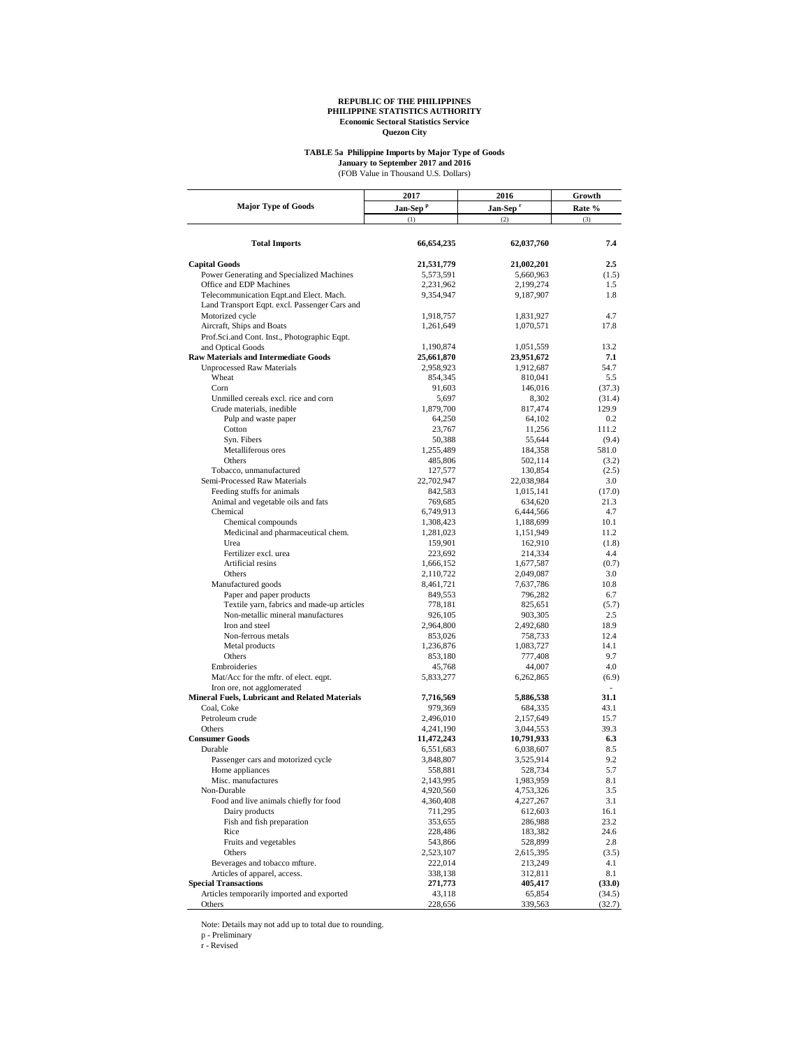#### **TABLE 5a Philippine Imports by Major Type of Goods**

(FOB Value in Thousand U.S. Dollars) **January to September 2017 and 2016**

|                                                                           | 2017                   | 2016                   | Growth<br>Rate % |  |
|---------------------------------------------------------------------------|------------------------|------------------------|------------------|--|
| <b>Major Type of Goods</b>                                                | Jan-Sep <sup>p</sup>   | Jan-Sep <sup>r</sup>   |                  |  |
|                                                                           | (1)                    | (2)                    | (3)              |  |
|                                                                           |                        |                        |                  |  |
| <b>Total Imports</b>                                                      | 66,654,235             | 62,037,760             | 7.4              |  |
| <b>Capital Goods</b>                                                      | 21,531,779             | 21,002,201             | $2.5\,$          |  |
| Power Generating and Specialized Machines                                 | 5,573,591              | 5,660,963              | (1.5)            |  |
| Office and EDP Machines                                                   | 2,231,962              | 2,199,274              | 1.5              |  |
| Telecommunication Eqpt.and Elect. Mach.                                   | 9,354,947              | 9,187,907              | 1.8              |  |
| Land Transport Eqpt. excl. Passenger Cars and                             |                        |                        |                  |  |
| Motorized cycle                                                           | 1,918,757              | 1,831,927              | 4.7              |  |
| Aircraft, Ships and Boats                                                 | 1,261,649              | 1,070,571              | 17.8             |  |
| Prof.Sci.and Cont. Inst., Photographic Eqpt.                              |                        |                        |                  |  |
| and Optical Goods                                                         | 1,190,874              | 1,051,559              | 13.2             |  |
| <b>Raw Materials and Intermediate Goods</b>                               | 25,661,870             | 23,951,672             | 7.1              |  |
| <b>Unprocessed Raw Materials</b>                                          | 2,958,923              | 1,912,687              | 54.7             |  |
| Wheat                                                                     | 854,345                | 810,041                | 5.5              |  |
| Corn                                                                      | 91,603                 | 146,016                | (37.3)           |  |
| Unmilled cereals excl. rice and corn                                      | 5,697                  | 8,302                  | (31.4)           |  |
| Crude materials, inedible                                                 | 1,879,700              | 817,474                | 129.9            |  |
| Pulp and waste paper                                                      | 64,250                 | 64,102                 | 0.2              |  |
| Cotton                                                                    | 23,767                 | 11,256                 | 111.2            |  |
| Syn. Fibers                                                               | 50,388                 | 55,644                 | (9.4)            |  |
| Metalliferous ores                                                        | 1,255,489              | 184,358                | 581.0            |  |
| Others                                                                    | 485,806                | 502,114                | (3.2)            |  |
| Tobacco, unmanufactured                                                   | 127,577                | 130,854                | (2.5)            |  |
| Semi-Processed Raw Materials                                              | 22,702,947             | 22,038,984             | 3.0              |  |
| Feeding stuffs for animals                                                | 842,583                | 1,015,141              | (17.0)           |  |
| Animal and vegetable oils and fats                                        | 769,685                | 634,620                | 21.3             |  |
| Chemical                                                                  | 6,749,913              | 6,444,566              | 4.7              |  |
| Chemical compounds                                                        | 1,308,423              | 1,188,699              | 10.1             |  |
| Medicinal and pharmaceutical chem.                                        | 1,281,023              | 1,151,949              | 11.2             |  |
| Urea                                                                      | 159,901                | 162,910                | (1.8)            |  |
| Fertilizer excl. urea                                                     | 223,692                | 214,334                | 4.4              |  |
| Artificial resins                                                         | 1,666,152              | 1,677,587              | (0.7)            |  |
| Others                                                                    | 2,110,722              | 2,049,087              | 3.0              |  |
| Manufactured goods                                                        | 8,461,721              | 7,637,786              | 10.8             |  |
| Paper and paper products                                                  | 849,553                | 796,282                | 6.7              |  |
| Textile yarn, fabrics and made-up articles                                | 778,181                | 825,651                | (5.7)            |  |
| Non-metallic mineral manufactures                                         | 926,105                | 903,305                | 2.5              |  |
| Iron and steel                                                            | 2,964,800              | 2,492,680              | 18.9             |  |
| Non-ferrous metals                                                        | 853,026                | 758,733                | 12.4             |  |
| Metal products                                                            | 1,236,876              | 1,083,727              | 14.1             |  |
| Others                                                                    | 853,180                | 777,408                | 9.7              |  |
| Embroideries                                                              | 45,768                 | 44,007                 | 4.0              |  |
| Mat/Acc for the mftr. of elect. eqpt.                                     | 5,833,277              | 6,262,865              | (6.9)            |  |
| Iron ore, not agglomerated                                                |                        |                        | ÷.               |  |
| Mineral Fuels, Lubricant and Related Materials                            | 7,716,569              | 5,886,538              | 31.1             |  |
| Coal, Coke                                                                | 979,369                | 684,335                | 43.1             |  |
| Petroleum crude                                                           | 2,496,010              | 2,157,649              | 15.7             |  |
| Others                                                                    | 4,241,190              | 3,044,553              | 39.3             |  |
| <b>Consumer Goods</b>                                                     | 11,472,243             | 10,791,933             | 6.3              |  |
| Durable                                                                   | 6,551,683              | 6,038,607              | 8.5              |  |
| Passenger cars and motorized cycle                                        | 3,848,807              | 3,525,914              | 9.2              |  |
| Home appliances<br>Misc. manufactures                                     | 558,881                | 528,734                | 5.7              |  |
|                                                                           | 2,143,995<br>4,920,560 | 1,983,959<br>4,753,326 | 8.1<br>3.5       |  |
| Non-Durable<br>Food and live animals chiefly for food                     |                        |                        | 3.1              |  |
| Dairy products                                                            | 4,360,408              | 4,227,267<br>612,603   | 16.1             |  |
|                                                                           | 711,295                |                        |                  |  |
| Fish and fish preparation<br>Rice                                         | 353,655                | 286,988                | 23.2             |  |
| Fruits and vegetables                                                     | 228,486<br>543,866     | 183,382<br>528,899     | 24.6<br>2.8      |  |
| Others                                                                    |                        |                        |                  |  |
|                                                                           | 2,523,107              | 2,615,395              | (3.5)            |  |
| Beverages and tobacco mfture.                                             | 222,014                | 213,249                | 4.1              |  |
| Articles of apparel, access.                                              | 338,138                | 312,811                | 8.1              |  |
| <b>Special Transactions</b><br>Articles temporarily imported and exported | 271,773                | 405,417<br>65,854      | (33.0)           |  |
| Others                                                                    | 43,118<br>228,656      | 339,563                | (34.5)<br>(32.7) |  |
|                                                                           |                        |                        |                  |  |

Note: Details may not add up to total due to rounding. p - Preliminary r - Revised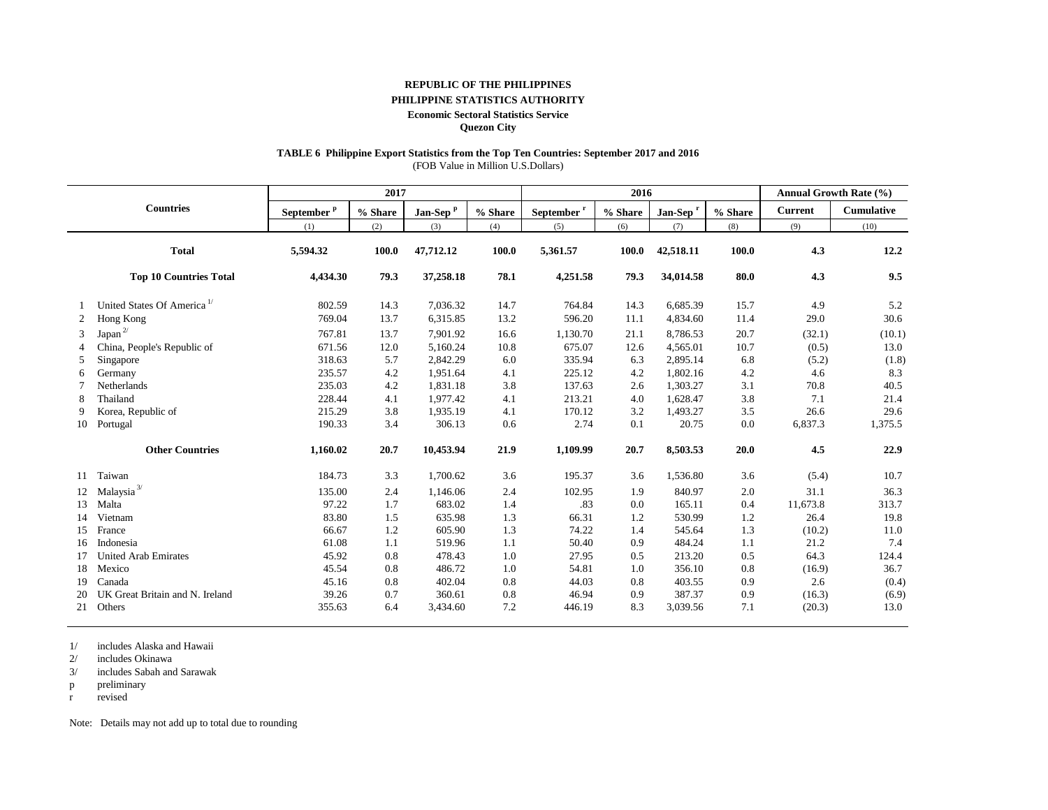#### **REPUBLIC OF THE PHILIPPINES**

#### **PHILIPPINE STATISTICS AUTHORITY**

#### **Economic Sectoral Statistics Service**

**Quezon City**

## **TABLE 6 Philippine Export Statistics from the Top Ten Countries: September 2017 and 2016**

(FOB Value in Million U.S.Dollars)

| 2017 |                                        |                        |            |                      |         | 2016                   |         |                      | Annual Growth Rate (%) |                |            |
|------|----------------------------------------|------------------------|------------|----------------------|---------|------------------------|---------|----------------------|------------------------|----------------|------------|
|      | <b>Countries</b>                       | September <sup>p</sup> | $\%$ Share | Jan-Sep <sup>p</sup> | % Share | September <sup>r</sup> | % Share | Jan-Sep <sup>r</sup> | % Share                | <b>Current</b> | Cumulative |
|      |                                        | (1)                    | (2)        | (3)                  | (4)     | (5)                    | (6)     | (7)                  | (8)                    | (9)            | (10)       |
|      | <b>Total</b>                           | 5,594.32               | 100.0      | 47,712.12            | 100.0   | 5,361.57               | 100.0   | 42,518.11            | 100.0                  | 4.3            | 12.2       |
|      | <b>Top 10 Countries Total</b>          | 4,434.30               | 79.3       | 37,258.18            | 78.1    | 4,251.58               | 79.3    | 34,014.58            | 80.0                   | 4.3            | 9.5        |
|      | United States Of America <sup>1/</sup> | 802.59                 | 14.3       | 7,036.32             | 14.7    | 764.84                 | 14.3    | 6,685.39             | 15.7                   | 4.9            | 5.2        |
| 2    | Hong Kong                              | 769.04                 | 13.7       | 6,315.85             | 13.2    | 596.20                 | 11.1    | 4,834.60             | 11.4                   | 29.0           | 30.6       |
| 3    | Japan $^{2\prime}$                     | 767.81                 | 13.7       | 7.901.92             | 16.6    | 1,130.70               | 21.1    | 8,786.53             | 20.7                   | (32.1)         | (10.1)     |
|      | China, People's Republic of            | 671.56                 | 12.0       | 5,160.24             | 10.8    | 675.07                 | 12.6    | 4,565.01             | 10.7                   | (0.5)          | 13.0       |
| 5    | Singapore                              | 318.63                 | 5.7        | 2,842.29             | 6.0     | 335.94                 | 6.3     | 2,895.14             | 6.8                    | (5.2)          | (1.8)      |
| 6    | Germany                                | 235.57                 | 4.2        | 1,951.64             | 4.1     | 225.12                 | 4.2     | 1,802.16             | 4.2                    | 4.6            | 8.3        |
|      | Netherlands                            | 235.03                 | 4.2        | 1,831.18             | 3.8     | 137.63                 | 2.6     | 1,303.27             | 3.1                    | 70.8           | 40.5       |
| 8    | Thailand                               | 228.44                 | 4.1        | 1,977.42             | 4.1     | 213.21                 | 4.0     | 1,628.47             | 3.8                    | 7.1            | 21.4       |
| 9    | Korea, Republic of                     | 215.29                 | 3.8        | 1,935.19             | 4.1     | 170.12                 | 3.2     | 1,493.27             | 3.5                    | 26.6           | 29.6       |
| 10   | Portugal                               | 190.33                 | 3.4        | 306.13               | 0.6     | 2.74                   | 0.1     | 20.75                | 0.0                    | 6,837.3        | 1,375.5    |
|      | <b>Other Countries</b>                 | 1,160.02               | 20.7       | 10,453.94            | 21.9    | 1,109.99               | 20.7    | 8,503.53             | 20.0                   | 4.5            | 22.9       |
| 11   | Taiwan                                 | 184.73                 | 3.3        | 1,700.62             | 3.6     | 195.37                 | 3.6     | 1,536.80             | 3.6                    | (5.4)          | 10.7       |
| 12   | Malaysia $^{3\prime}$                  | 135.00                 | 2.4        | 1,146.06             | 2.4     | 102.95                 | 1.9     | 840.97               | 2.0                    | 31.1           | 36.3       |
| 13   | Malta                                  | 97.22                  | 1.7        | 683.02               | 1.4     | .83                    | 0.0     | 165.11               | 0.4                    | 11,673.8       | 313.7      |
| 14   | Vietnam                                | 83.80                  | 1.5        | 635.98               | 1.3     | 66.31                  | 1.2     | 530.99               | 1.2                    | 26.4           | 19.8       |
| 15   | France                                 | 66.67                  | 1.2        | 605.90               | 1.3     | 74.22                  | 1.4     | 545.64               | 1.3                    | (10.2)         | 11.0       |
| 16   | Indonesia                              | 61.08                  | 1.1        | 519.96               | 1.1     | 50.40                  | 0.9     | 484.24               | 1.1                    | 21.2           | 7.4        |
| 17   | <b>United Arab Emirates</b>            | 45.92                  | 0.8        | 478.43               | 1.0     | 27.95                  | 0.5     | 213.20               | 0.5                    | 64.3           | 124.4      |
| 18   | Mexico                                 | 45.54                  | 0.8        | 486.72               | 1.0     | 54.81                  | 1.0     | 356.10               | 0.8                    | (16.9)         | 36.7       |
| 19   | Canada                                 | 45.16                  | 0.8        | 402.04               | 0.8     | 44.03                  | 0.8     | 403.55               | 0.9                    | 2.6            | (0.4)      |
| 20   | UK Great Britain and N. Ireland        | 39.26                  | 0.7        | 360.61               | 0.8     | 46.94                  | 0.9     | 387.37               | 0.9                    | (16.3)         | (6.9)      |
| 21   | Others                                 | 355.63                 | 6.4        | 3,434.60             | 7.2     | 446.19                 | 8.3     | 3,039.56             | 7.1                    | (20.3)         | 13.0       |

1/ includes Alaska and Hawaii

2/ includes Okinawa

3/ includes Sabah and Sarawak

p preliminary

r revised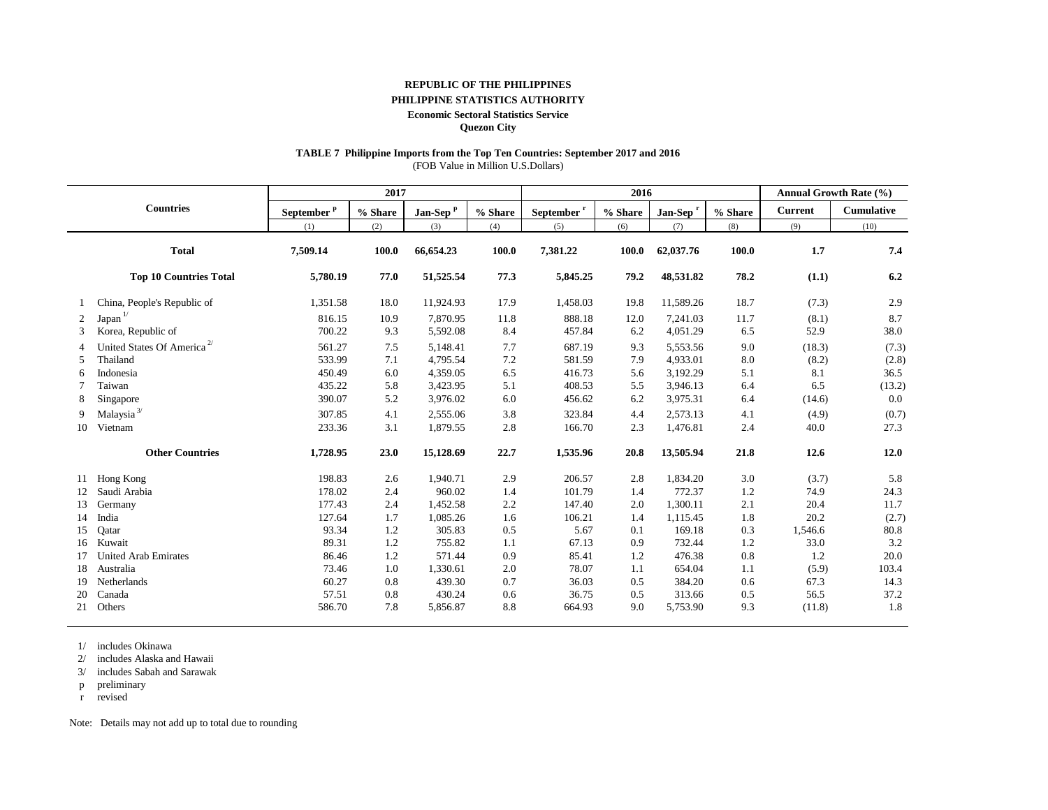#### **REPUBLIC OF THE PHILIPPINES**

#### **PHILIPPINE STATISTICS AUTHORITY**

#### **Economic Sectoral Statistics Service**

**Quezon City**

#### **TABLE 7 Philippine Imports from the Top Ten Countries: September 2017 and 2016**

(FOB Value in Million U.S.Dollars)

| 2017<br>2016   |                                        |                        |            |                      |         |                        | <b>Annual Growth Rate (%)</b> |                      |         |                |            |
|----------------|----------------------------------------|------------------------|------------|----------------------|---------|------------------------|-------------------------------|----------------------|---------|----------------|------------|
|                | <b>Countries</b>                       | September <sup>P</sup> | $\%$ Share | Jan-Sep <sup>P</sup> | % Share | September <sup>r</sup> | % Share                       | Jan-Sep <sup>r</sup> | % Share | <b>Current</b> | Cumulative |
|                |                                        | (1)                    | (2)        | (3)                  | (4)     | (5)                    | (6)                           | (7)                  | (8)     | (9)            | (10)       |
|                | <b>Total</b>                           | 7,509.14               | 100.0      | 66,654.23            | 100.0   | 7,381.22               | 100.0                         | 62,037.76            | 100.0   | 1.7            | 7.4        |
|                | <b>Top 10 Countries Total</b>          | 5,780.19               | 77.0       | 51,525.54            | 77.3    | 5,845.25               | 79.2                          | 48,531.82            | 78.2    | (1.1)          | 6.2        |
|                | China, People's Republic of            | 1,351.58               | 18.0       | 11,924.93            | 17.9    | 1,458.03               | 19.8                          | 11,589.26            | 18.7    | (7.3)          | 2.9        |
| 2              | Japan <sup>1/</sup>                    | 816.15                 | 10.9       | 7,870.95             | 11.8    | 888.18                 | 12.0                          | 7,241.03             | 11.7    | (8.1)          | 8.7        |
| 3              | Korea, Republic of                     | 700.22                 | 9.3        | 5,592.08             | 8.4     | 457.84                 | 6.2                           | 4,051.29             | 6.5     | 52.9           | 38.0       |
| $\overline{4}$ | United States Of America <sup>2/</sup> | 561.27                 | 7.5        | 5,148.41             | 7.7     | 687.19                 | 9.3                           | 5,553.56             | 9.0     | (18.3)         | (7.3)      |
| 5              | Thailand                               | 533.99                 | 7.1        | 4,795.54             | 7.2     | 581.59                 | 7.9                           | 4,933.01             | 8.0     | (8.2)          | (2.8)      |
| 6              | Indonesia                              | 450.49                 | 6.0        | 4.359.05             | 6.5     | 416.73                 | 5.6                           | 3,192.29             | 5.1     | 8.1            | 36.5       |
|                | Taiwan                                 | 435.22                 | 5.8        | 3,423.95             | 5.1     | 408.53                 | 5.5                           | 3,946.13             | 6.4     | 6.5            | (13.2)     |
| 8              | Singapore                              | 390.07                 | 5.2        | 3,976.02             | 6.0     | 456.62                 | 6.2                           | 3,975.31             | 6.4     | (14.6)         | 0.0        |
| 9              | Malaysia <sup>3/</sup>                 | 307.85                 | 4.1        | 2,555.06             | 3.8     | 323.84                 | 4.4                           | 2,573.13             | 4.1     | (4.9)          | (0.7)      |
| 10             | Vietnam                                | 233.36                 | 3.1        | 1.879.55             | 2.8     | 166.70                 | 2.3                           | 1,476.81             | 2.4     | 40.0           | 27.3       |
|                | <b>Other Countries</b>                 | 1,728.95               | 23.0       | 15,128.69            | 22.7    | 1,535.96               | 20.8                          | 13,505.94            | 21.8    | 12.6           | 12.0       |
| 11             | Hong Kong                              | 198.83                 | 2.6        | 1,940.71             | 2.9     | 206.57                 | 2.8                           | 1,834.20             | 3.0     | (3.7)          | 5.8        |
| 12             | Saudi Arabia                           | 178.02                 | 2.4        | 960.02               | 1.4     | 101.79                 | 1.4                           | 772.37               | 1.2     | 74.9           | 24.3       |
| 13             | Germany                                | 177.43                 | 2.4        | 1,452.58             | 2.2     | 147.40                 | 2.0                           | 1,300.11             | 2.1     | 20.4           | 11.7       |
| 14             | India                                  | 127.64                 | 1.7        | 1,085.26             | 1.6     | 106.21                 | 1.4                           | 1,115.45             | 1.8     | 20.2           | (2.7)      |
| 15             | Oatar                                  | 93.34                  | 1.2        | 305.83               | 0.5     | 5.67                   | 0.1                           | 169.18               | 0.3     | 1,546.6        | 80.8       |
| 16             | Kuwait                                 | 89.31                  | 1.2        | 755.82               | 1.1     | 67.13                  | 0.9                           | 732.44               | 1.2     | 33.0           | 3.2        |
| 17             | <b>United Arab Emirates</b>            | 86.46                  | 1.2        | 571.44               | 0.9     | 85.41                  | 1.2                           | 476.38               | 0.8     | 1.2            | 20.0       |
| 18             | Australia                              | 73.46                  | 1.0        | 1,330.61             | 2.0     | 78.07                  | 1.1                           | 654.04               | 1.1     | (5.9)          | 103.4      |
| 19             | Netherlands                            | 60.27                  | 0.8        | 439.30               | 0.7     | 36.03                  | 0.5                           | 384.20               | 0.6     | 67.3           | 14.3       |
| 20             | Canada                                 | 57.51                  | 0.8        | 430.24               | 0.6     | 36.75                  | 0.5                           | 313.66               | 0.5     | 56.5           | 37.2       |
| 21             | Others                                 | 586.70                 | 7.8        | 5,856.87             | 8.8     | 664.93                 | 9.0                           | 5,753.90             | 9.3     | (11.8)         | 1.8        |

1/ includes Okinawa

2/ includes Alaska and Hawaii

3/ includes Sabah and Sarawak

p preliminary

r revised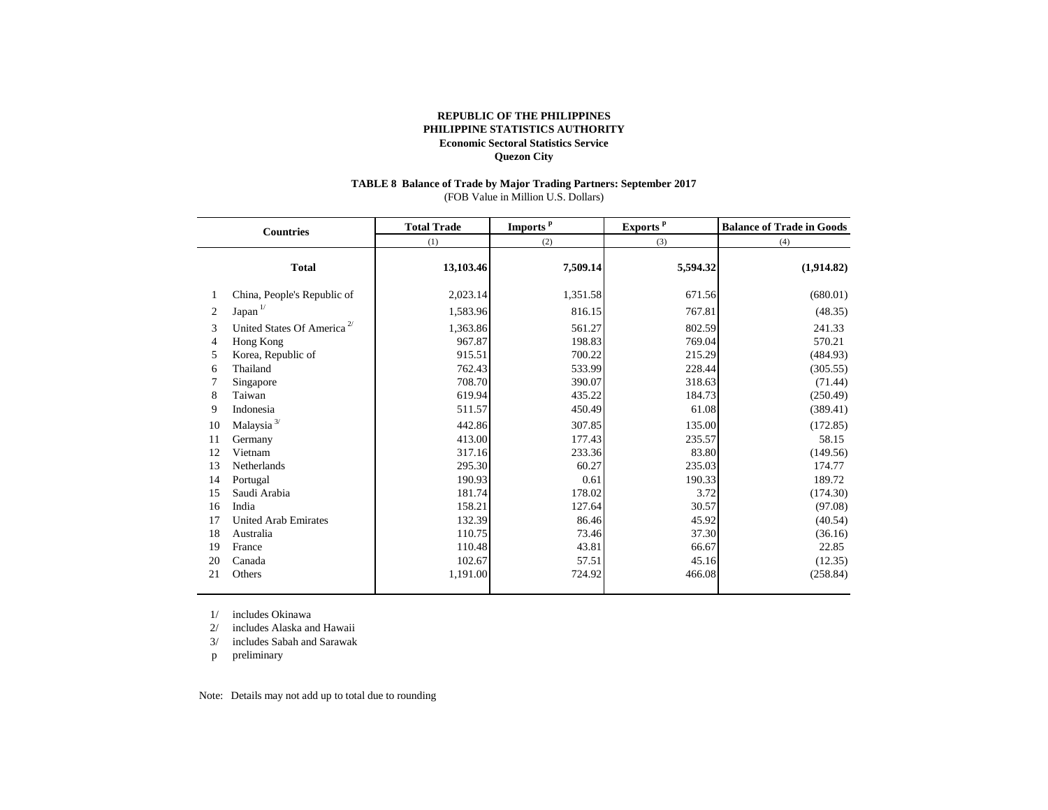#### **TABLE 8 Balance of Trade by Major Trading Partners: September 2017** (FOB Value in Million U.S. Dollars)

| <b>Countries</b>                                         |                                                                                                                                                                                                     | <b>Total Trade</b>                                                                                                     | Imports <sup>p</sup>                                                                                              | Exports <sup>p</sup>                                                                                               | <b>Balance of Trade in Goods</b>                                                                                                 |  |  |
|----------------------------------------------------------|-----------------------------------------------------------------------------------------------------------------------------------------------------------------------------------------------------|------------------------------------------------------------------------------------------------------------------------|-------------------------------------------------------------------------------------------------------------------|--------------------------------------------------------------------------------------------------------------------|----------------------------------------------------------------------------------------------------------------------------------|--|--|
|                                                          |                                                                                                                                                                                                     | (1)                                                                                                                    | (2)                                                                                                               | (3)                                                                                                                | (4)                                                                                                                              |  |  |
|                                                          | <b>Total</b>                                                                                                                                                                                        | 13,103.46                                                                                                              | 7,509.14                                                                                                          | 5,594.32                                                                                                           | (1,914.82)                                                                                                                       |  |  |
|                                                          | China, People's Republic of                                                                                                                                                                         | 2,023.14                                                                                                               | 1,351.58                                                                                                          | 671.56                                                                                                             | (680.01)                                                                                                                         |  |  |
| 2                                                        | $Japan$ <sup><math>1/</math></sup>                                                                                                                                                                  | 1,583.96                                                                                                               | 816.15                                                                                                            | 767.81                                                                                                             | (48.35)                                                                                                                          |  |  |
| 3<br>4<br>5<br>6<br>8<br>9<br>10<br>11<br>12<br>13<br>14 | United States Of America <sup>2/</sup><br>Hong Kong<br>Korea, Republic of<br>Thailand<br>Singapore<br>Taiwan<br>Indonesia<br>Malaysia $^{3\prime}$<br>Germany<br>Vietnam<br>Netherlands<br>Portugal | 1,363.86<br>967.87<br>915.51<br>762.43<br>708.70<br>619.94<br>511.57<br>442.86<br>413.00<br>317.16<br>295.30<br>190.93 | 561.27<br>198.83<br>700.22<br>533.99<br>390.07<br>435.22<br>450.49<br>307.85<br>177.43<br>233.36<br>60.27<br>0.61 | 802.59<br>769.04<br>215.29<br>228.44<br>318.63<br>184.73<br>61.08<br>135.00<br>235.57<br>83.80<br>235.03<br>190.33 | 241.33<br>570.21<br>(484.93)<br>(305.55)<br>(71.44)<br>(250.49)<br>(389.41)<br>(172.85)<br>58.15<br>(149.56)<br>174.77<br>189.72 |  |  |
| 15<br>16                                                 | Saudi Arabia<br>India                                                                                                                                                                               | 181.74<br>158.21                                                                                                       | 178.02<br>127.64                                                                                                  | 3.72<br>30.57                                                                                                      | (174.30)<br>(97.08)                                                                                                              |  |  |
| 17                                                       | <b>United Arab Emirates</b>                                                                                                                                                                         | 132.39                                                                                                                 | 86.46                                                                                                             | 45.92                                                                                                              | (40.54)                                                                                                                          |  |  |
| 18                                                       | Australia                                                                                                                                                                                           | 110.75                                                                                                                 | 73.46                                                                                                             | 37.30                                                                                                              | (36.16)                                                                                                                          |  |  |
| 19                                                       | France                                                                                                                                                                                              | 110.48                                                                                                                 | 43.81                                                                                                             | 66.67                                                                                                              | 22.85                                                                                                                            |  |  |
| 20                                                       | Canada                                                                                                                                                                                              | 102.67                                                                                                                 | 57.51                                                                                                             | 45.16                                                                                                              | (12.35)                                                                                                                          |  |  |
| 21                                                       | Others                                                                                                                                                                                              | 1,191.00                                                                                                               | 724.92                                                                                                            | 466.08                                                                                                             | (258.84)                                                                                                                         |  |  |

1/ includes Okinawa

2/ includes Alaska and Hawaii

3/ includes Sabah and Sarawak

p preliminary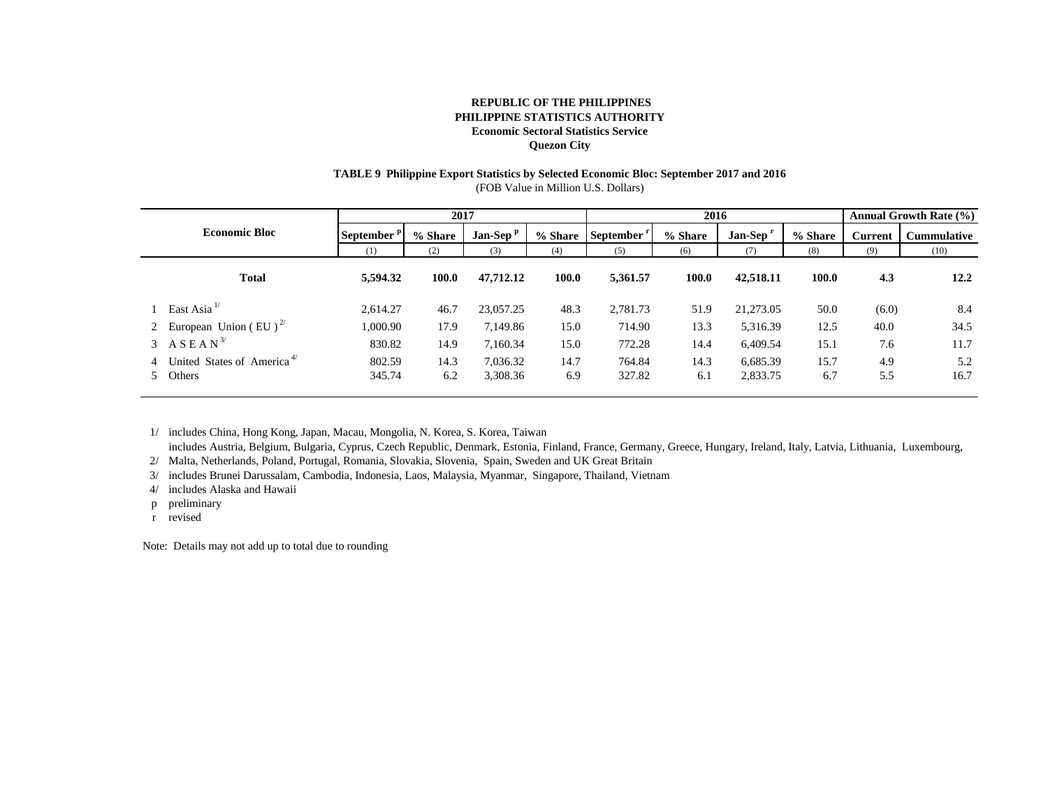## **TABLE 9 Philippine Export Statistics by Selected Economic Bloc: September 2017 and 2016**

(FOB Value in Million U.S. Dollars)

| <b>Economic Bloc</b> |                                                  | 2017             |         |            |         | 2016      |         |           | <b>Annual Growth Rate (%)</b> |                |                    |
|----------------------|--------------------------------------------------|------------------|---------|------------|---------|-----------|---------|-----------|-------------------------------|----------------|--------------------|
|                      |                                                  | <b>September</b> | % Share | $Jan-Sepp$ | % Share | September | % Share | Jan-Sep   | % Share                       | <b>Current</b> | <b>Cummulative</b> |
|                      |                                                  | (1)              | (2)     | (3)        | (4)     | (5)       | (6)     | (7)       | (8)                           | (9)            | (10)               |
|                      | <b>Total</b>                                     | 5,594.32         | 100.0   | 47,712.12  | 100.0   | 5,361.57  | 100.0   | 42,518.11 | 100.0                         | 4.3            | 12.2               |
|                      | 1 East Asia <sup>1/</sup>                        | 2,614.27         | 46.7    | 23,057.25  | 48.3    | 2,781.73  | 51.9    | 21,273.05 | 50.0                          | (6.0)          | 8.4                |
|                      | 2 European Union (EU) <sup><math>2/</math></sup> | 1,000.90         | 17.9    | 7.149.86   | 15.0    | 714.90    | 13.3    | 5,316.39  | 12.5                          | 40.0           | 34.5               |
|                      | 3 ASEAN <sup>3/</sup>                            | 830.82           | 14.9    | 7,160.34   | 15.0    | 772.28    | 14.4    | 6,409.54  | 15.1                          | 7.6            | 11.7               |
|                      | 4 United States of America <sup>4/</sup>         | 802.59           | 14.3    | 7,036.32   | 14.7    | 764.84    | 14.3    | 6.685.39  | 15.7                          | 4.9            | 5.2                |
|                      | 5 Others                                         | 345.74           | 6.2     | 3,308.36   | 6.9     | 327.82    | 6.1     | 2,833.75  | 6.7                           | 5.5            | 16.7               |
|                      |                                                  |                  |         |            |         |           |         |           |                               |                |                    |

1/ includes China, Hong Kong, Japan, Macau, Mongolia, N. Korea, S. Korea, Taiwan

includes Austria, Belgium, Bulgaria, Cyprus, Czech Republic, Denmark, Estonia, Finland, France, Germany, Greece, Hungary, Ireland, Italy, Latvia, Lithuania, Luxembourg,

2/ Malta, Netherlands, Poland, Portugal, Romania, Slovakia, Slovenia, Spain, Sweden and UK Great Britain

3/ includes Brunei Darussalam, Cambodia, Indonesia, Laos, Malaysia, Myanmar, Singapore, Thailand, Vietnam

4/ includes Alaska and Hawaii

p preliminary

r revised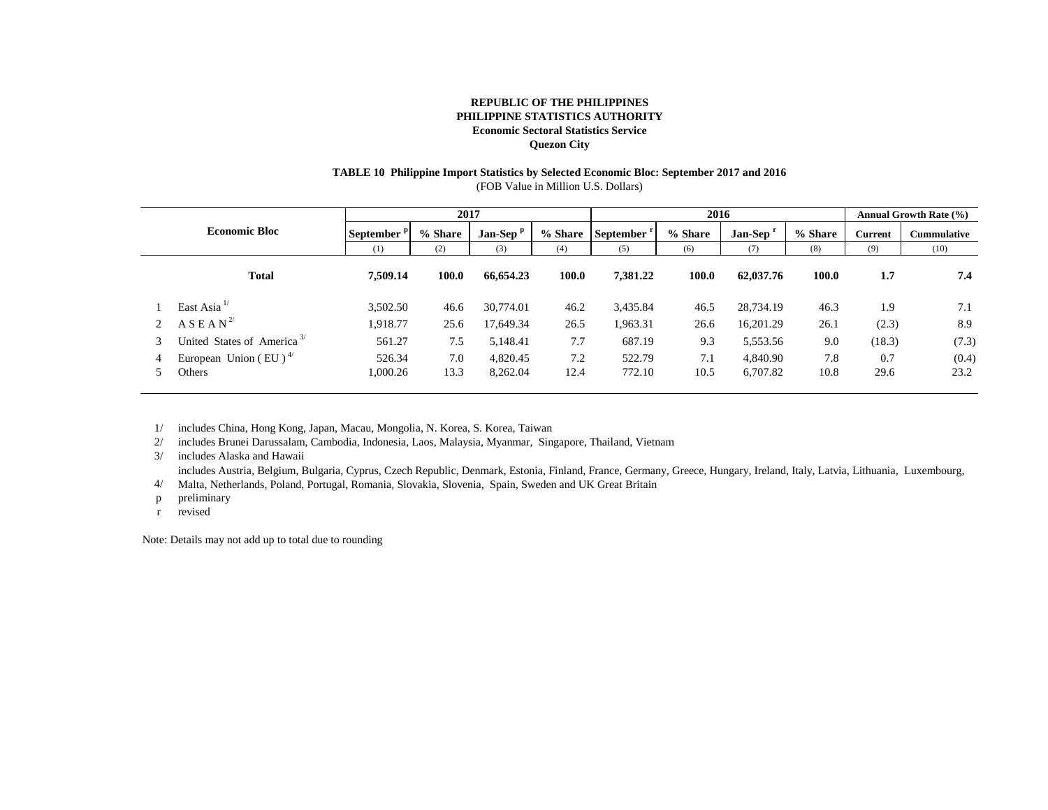### **TABLE 10 Philippine Import Statistics by Selected Economic Bloc: September 2017 and 2016**

(FOB Value in Million U.S. Dollars)

| <b>Economic Bloc</b> |                                                          | 2017                   |             |                      |             | 2016                   |             |                      | <b>Annual Growth Rate (%)</b> |                |                    |
|----------------------|----------------------------------------------------------|------------------------|-------------|----------------------|-------------|------------------------|-------------|----------------------|-------------------------------|----------------|--------------------|
|                      |                                                          | September <sup>p</sup> | % Share     | Jan-Sep <sup>P</sup> | % Share     | September <sup>r</sup> | % Share     | Jan-Sep <sup>1</sup> | % Share                       | <b>Current</b> | <b>Cummulative</b> |
|                      |                                                          | (1)                    | (2)         | (3)                  | (4)         | (5)                    | (6)         | (7)                  | (8)                           | (9)            | (10)               |
|                      | <b>Total</b>                                             | 7.509.14               | 100.0       | 66,654.23            | 100.0       | 7,381.22               | 100.0       | 62,037.76            | 100.0                         | 1.7            | 7.4                |
|                      | East Asia <sup>1</sup>                                   | 3,502.50               | 46.6        | 30,774.01            | 46.2        | 3,435.84               | 46.5        | 28,734.19            | 46.3                          | 1.9            | 7.1                |
|                      | $A S E A N^{2/3}$                                        | 1,918.77               | 25.6        | 17,649.34            | 26.5        | 1,963.31               | 26.6        | 16,201.29            | 26.1                          | (2.3)          | 8.9                |
| 3                    | United States of America <sup>3/</sup>                   | 561.27                 | 7.5         | 5,148.41             | 7.7         | 687.19                 | 9.3         | 5,553.56             | 9.0                           | (18.3)         | (7.3)              |
| 4                    | European Union (EU) <sup><math>4/</math></sup><br>Others | 526.34<br>1,000.26     | 7.0<br>13.3 | 4,820.45<br>8,262.04 | 7.2<br>12.4 | 522.79<br>772.10       | 7.1<br>10.5 | 4,840.90<br>6,707.82 | 7.8<br>10.8                   | 0.7<br>29.6    | (0.4)<br>23.2      |
|                      |                                                          |                        |             |                      |             |                        |             |                      |                               |                |                    |

1/ includes China, Hong Kong, Japan, Macau, Mongolia, N. Korea, S. Korea, Taiwan

2/ includes Brunei Darussalam, Cambodia, Indonesia, Laos, Malaysia, Myanmar, Singapore, Thailand, Vietnam

3/ includes Alaska and Hawaii

includes Austria, Belgium, Bulgaria, Cyprus, Czech Republic, Denmark, Estonia, Finland, France, Germany, Greece, Hungary, Ireland, Italy, Latvia, Lithuania, Luxembourg,

4/ Malta, Netherlands, Poland, Portugal, Romania, Slovakia, Slovenia, Spain, Sweden and UK Great Britain

p preliminary

r revised